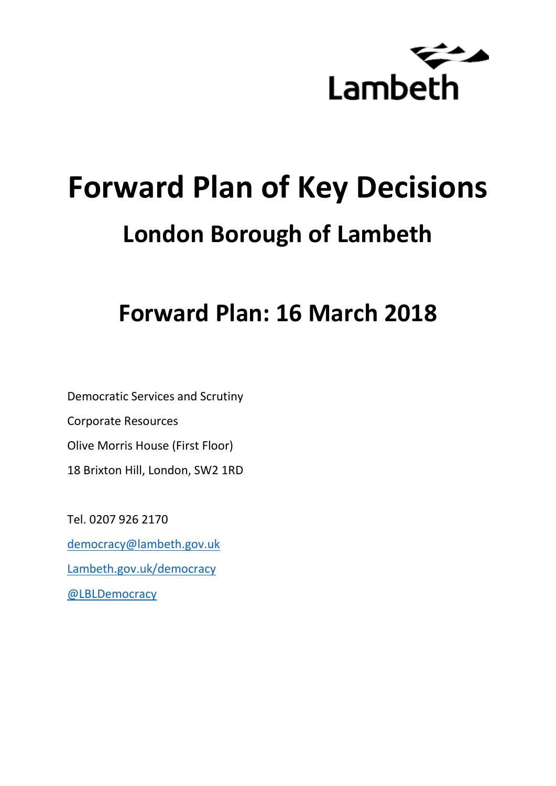

# **Forward Plan of Key Decisions London Borough of Lambeth**

# **Forward Plan: 16 March 2018**

Democratic Services and Scrutiny Corporate Resources Olive Morris House (First Floor) 18 Brixton Hill, London, SW2 1RD

Tel. 0207 926 2170 [democracy@lambeth.gov.uk](mailto:democracy@lambeth.gov.uk) [Lambeth.gov.uk/democracy](https://www.lambeth.gov.uk/elections-and-council/meetings-minutes-and-agendas/getting-involved-in-decision-making-guide) [@LBLDemocracy](https://twitter.com/LBLDemocracy?lang=en)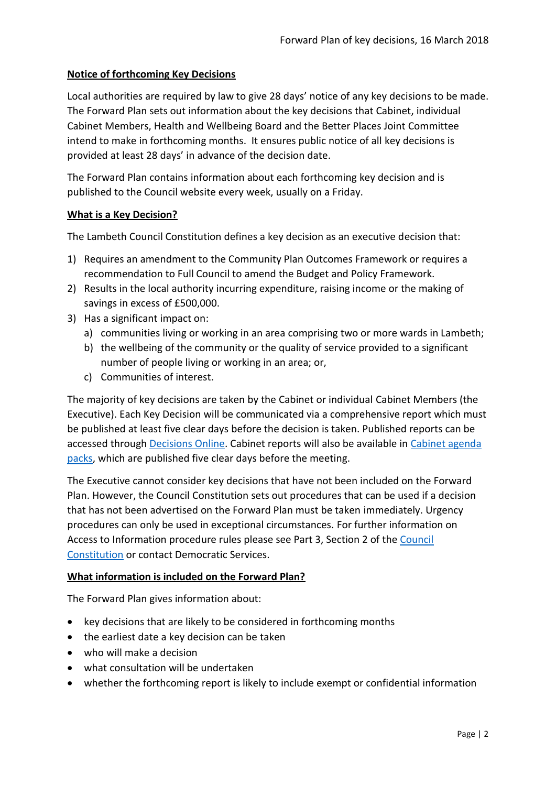# **Notice of forthcoming Key Decisions**

Local authorities are required by law to give 28 days' notice of any key decisions to be made. The Forward Plan sets out information about the key decisions that Cabinet, individual Cabinet Members, Health and Wellbeing Board and the Better Places Joint Committee intend to make in forthcoming months. It ensures public notice of all key decisions is provided at least 28 days' in advance of the decision date.

The Forward Plan contains information about each forthcoming key decision and is published to the Council website every week, usually on a Friday.

#### **What is a Key Decision?**

The Lambeth Council Constitution defines a key decision as an executive decision that:

- 1) Requires an amendment to the Community Plan Outcomes Framework or requires a recommendation to Full Council to amend the Budget and Policy Framework.
- 2) Results in the local authority incurring expenditure, raising income or the making of savings in excess of £500,000.
- 3) Has a significant impact on:
	- a) communities living or working in an area comprising two or more wards in Lambeth;
	- b) the wellbeing of the community or the quality of service provided to a significant number of people living or working in an area; or,
	- c) Communities of interest.

The majority of key decisions are taken by the Cabinet or individual Cabinet Members (the Executive). Each Key Decision will be communicated via a comprehensive report which must be published at least five clear days before the decision is taken. Published reports can be accessed through [Decisions Online.](http://moderngov.lambeth.gov.uk/mgDelegatedDecisions.aspx?bcr=1&DM=0&DS=2&K=0&DR=&V=0) Cabinet reports will also be available in [Cabinet agenda](https://moderngov.lambeth.gov.uk/ieListMeetings.aspx?CommitteeId=225)  [packs,](https://moderngov.lambeth.gov.uk/ieListMeetings.aspx?CommitteeId=225) which are published five clear days before the meeting.

The Executive cannot consider key decisions that have not been included on the Forward Plan. However, the Council Constitution sets out procedures that can be used if a decision that has not been advertised on the Forward Plan must be taken immediately. Urgency procedures can only be used in exceptional circumstances. For further information on Access to Information procedure rules please see Part 3, Section 2 of the [Council](http://moderngov.lambeth.gov.uk/ieListMeetings.aspx?CId=738&info=1&MD=Constitution)  [Constitution](http://moderngov.lambeth.gov.uk/ieListMeetings.aspx?CId=738&info=1&MD=Constitution) or contact Democratic Services.

# **What information is included on the Forward Plan?**

The Forward Plan gives information about:

- key decisions that are likely to be considered in forthcoming months
- the earliest date a key decision can be taken
- who will make a decision
- what consultation will be undertaken
- whether the forthcoming report is likely to include exempt or confidential information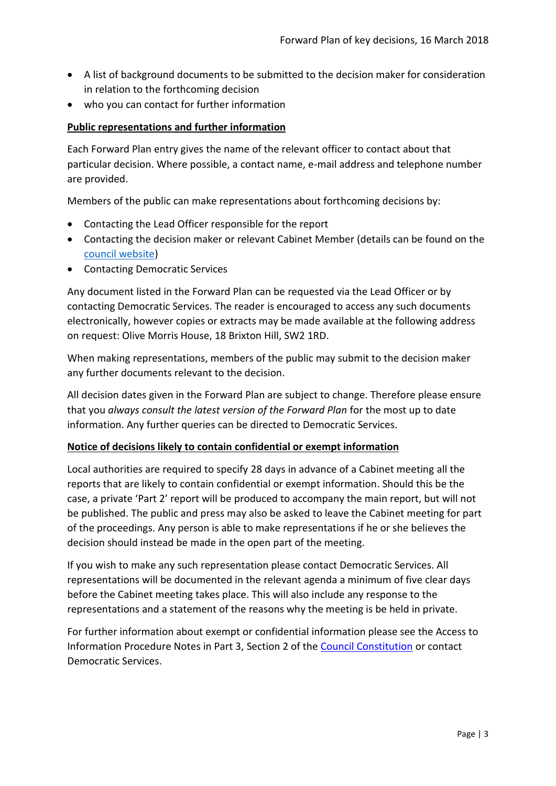- A list of background documents to be submitted to the decision maker for consideration in relation to the forthcoming decision
- who you can contact for further information

#### **Public representations and further information**

Each Forward Plan entry gives the name of the relevant officer to contact about that particular decision. Where possible, a contact name, e-mail address and telephone number are provided.

Members of the public can make representations about forthcoming decisions by:

- Contacting the Lead Officer responsible for the report
- Contacting the decision maker or relevant Cabinet Member (details can be found on the [council website\)](http://moderngov.lambeth.gov.uk/mgMemberIndex.aspx?bcr=1)
- Contacting Democratic Services

Any document listed in the Forward Plan can be requested via the Lead Officer or by contacting Democratic Services. The reader is encouraged to access any such documents electronically, however copies or extracts may be made available at the following address on request: Olive Morris House, 18 Brixton Hill, SW2 1RD.

When making representations, members of the public may submit to the decision maker any further documents relevant to the decision.

All decision dates given in the Forward Plan are subject to change. Therefore please ensure that you *always consult the latest version of the Forward Plan* for the most up to date information. Any further queries can be directed to Democratic Services.

#### **Notice of decisions likely to contain confidential or exempt information**

Local authorities are required to specify 28 days in advance of a Cabinet meeting all the reports that are likely to contain confidential or exempt information. Should this be the case, a private 'Part 2' report will be produced to accompany the main report, but will not be published. The public and press may also be asked to leave the Cabinet meeting for part of the proceedings. Any person is able to make representations if he or she believes the decision should instead be made in the open part of the meeting.

If you wish to make any such representation please contact Democratic Services. All representations will be documented in the relevant agenda a minimum of five clear days before the Cabinet meeting takes place. This will also include any response to the representations and a statement of the reasons why the meeting is be held in private.

For further information about exempt or confidential information please see the Access to Information Procedure Notes in Part 3, Section 2 of the [Council Constitution](http://www.lambeth.gov.uk/sites/default/files/ec-Council-Constitution-2014-15-approved-with-changes-November-2014.pdf) or contact Democratic Services.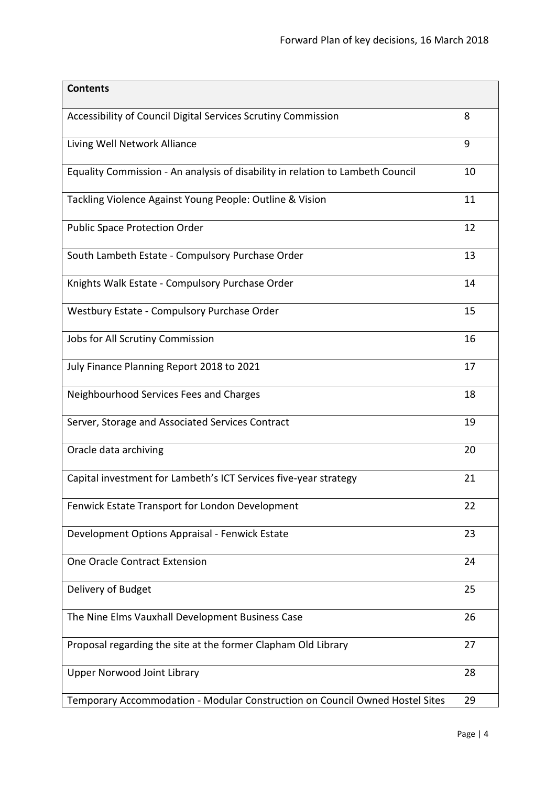| <b>Contents</b>                                                                |    |
|--------------------------------------------------------------------------------|----|
| Accessibility of Council Digital Services Scrutiny Commission                  | 8  |
| Living Well Network Alliance                                                   | 9  |
| Equality Commission - An analysis of disability in relation to Lambeth Council | 10 |
| Tackling Violence Against Young People: Outline & Vision                       | 11 |
| <b>Public Space Protection Order</b>                                           | 12 |
| South Lambeth Estate - Compulsory Purchase Order                               | 13 |
| Knights Walk Estate - Compulsory Purchase Order                                | 14 |
| Westbury Estate - Compulsory Purchase Order                                    | 15 |
| Jobs for All Scrutiny Commission                                               | 16 |
| July Finance Planning Report 2018 to 2021                                      | 17 |
| Neighbourhood Services Fees and Charges                                        | 18 |
| Server, Storage and Associated Services Contract                               | 19 |
| Oracle data archiving                                                          | 20 |
| Capital investment for Lambeth's ICT Services five-year strategy               | 21 |
| Fenwick Estate Transport for London Development                                | 22 |
| Development Options Appraisal - Fenwick Estate                                 | 23 |
| One Oracle Contract Extension                                                  | 24 |
| Delivery of Budget                                                             | 25 |
| The Nine Elms Vauxhall Development Business Case                               | 26 |
| Proposal regarding the site at the former Clapham Old Library                  | 27 |
| <b>Upper Norwood Joint Library</b>                                             | 28 |
| Temporary Accommodation - Modular Construction on Council Owned Hostel Sites   | 29 |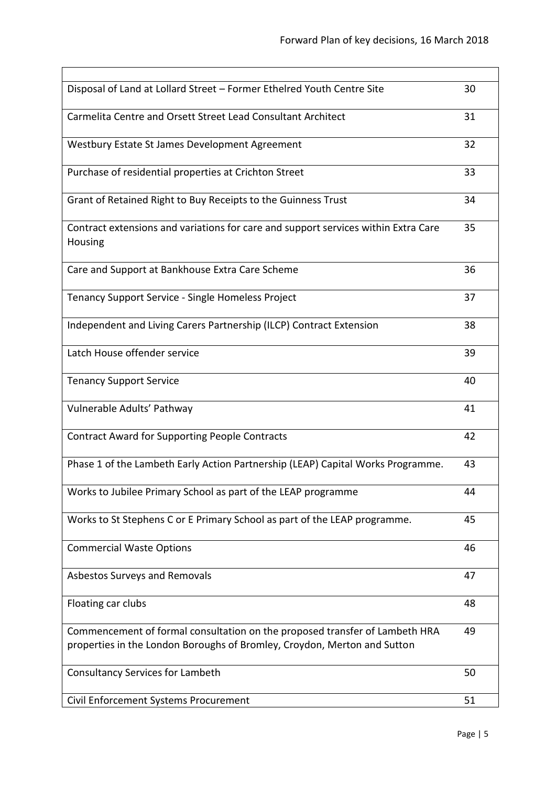| Disposal of Land at Lollard Street - Former Ethelred Youth Centre Site                                                                                  | 30 |
|---------------------------------------------------------------------------------------------------------------------------------------------------------|----|
| Carmelita Centre and Orsett Street Lead Consultant Architect                                                                                            | 31 |
| Westbury Estate St James Development Agreement                                                                                                          | 32 |
| Purchase of residential properties at Crichton Street                                                                                                   | 33 |
| Grant of Retained Right to Buy Receipts to the Guinness Trust                                                                                           | 34 |
| Contract extensions and variations for care and support services within Extra Care<br>Housing                                                           | 35 |
| Care and Support at Bankhouse Extra Care Scheme                                                                                                         | 36 |
| Tenancy Support Service - Single Homeless Project                                                                                                       | 37 |
| Independent and Living Carers Partnership (ILCP) Contract Extension                                                                                     | 38 |
| Latch House offender service                                                                                                                            | 39 |
| <b>Tenancy Support Service</b>                                                                                                                          | 40 |
| Vulnerable Adults' Pathway                                                                                                                              | 41 |
| <b>Contract Award for Supporting People Contracts</b>                                                                                                   | 42 |
| Phase 1 of the Lambeth Early Action Partnership (LEAP) Capital Works Programme.                                                                         | 43 |
| Works to Jubilee Primary School as part of the LEAP programme                                                                                           | 44 |
| Works to St Stephens C or E Primary School as part of the LEAP programme.                                                                               | 45 |
| <b>Commercial Waste Options</b>                                                                                                                         | 46 |
| Asbestos Surveys and Removals                                                                                                                           | 47 |
| Floating car clubs                                                                                                                                      | 48 |
| Commencement of formal consultation on the proposed transfer of Lambeth HRA<br>properties in the London Boroughs of Bromley, Croydon, Merton and Sutton | 49 |
| <b>Consultancy Services for Lambeth</b>                                                                                                                 | 50 |
| Civil Enforcement Systems Procurement                                                                                                                   | 51 |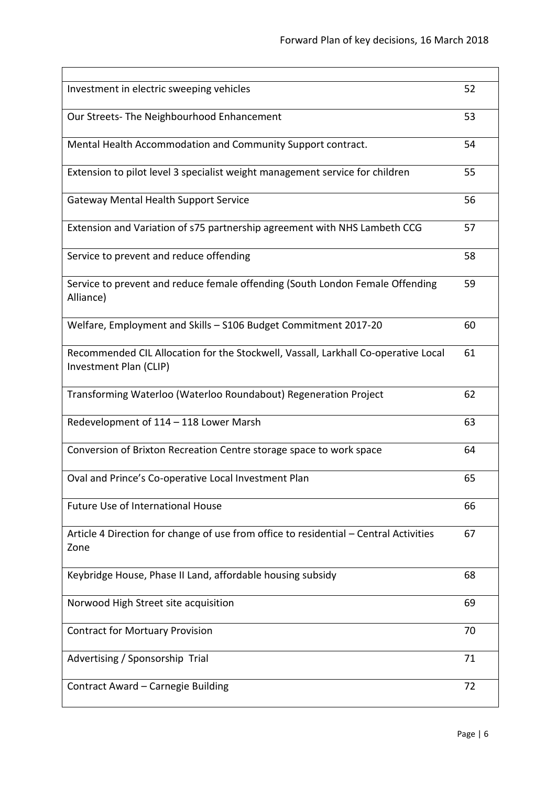| Investment in electric sweeping vehicles                                                                     | 52 |
|--------------------------------------------------------------------------------------------------------------|----|
| Our Streets- The Neighbourhood Enhancement                                                                   | 53 |
| Mental Health Accommodation and Community Support contract.                                                  | 54 |
| Extension to pilot level 3 specialist weight management service for children                                 | 55 |
| <b>Gateway Mental Health Support Service</b>                                                                 | 56 |
| Extension and Variation of s75 partnership agreement with NHS Lambeth CCG                                    | 57 |
| Service to prevent and reduce offending                                                                      | 58 |
| Service to prevent and reduce female offending (South London Female Offending<br>Alliance)                   | 59 |
| Welfare, Employment and Skills - S106 Budget Commitment 2017-20                                              | 60 |
| Recommended CIL Allocation for the Stockwell, Vassall, Larkhall Co-operative Local<br>Investment Plan (CLIP) | 61 |
| Transforming Waterloo (Waterloo Roundabout) Regeneration Project                                             | 62 |
| Redevelopment of 114 - 118 Lower Marsh                                                                       | 63 |
| Conversion of Brixton Recreation Centre storage space to work space                                          | 64 |
| Oval and Prince's Co-operative Local Investment Plan                                                         | 65 |
| <b>Future Use of International House</b>                                                                     | 66 |
| Article 4 Direction for change of use from office to residential - Central Activities<br>Zone                | 67 |
| Keybridge House, Phase II Land, affordable housing subsidy                                                   | 68 |
| Norwood High Street site acquisition                                                                         | 69 |
| <b>Contract for Mortuary Provision</b>                                                                       | 70 |
| Advertising / Sponsorship Trial                                                                              | 71 |
| Contract Award - Carnegie Building                                                                           | 72 |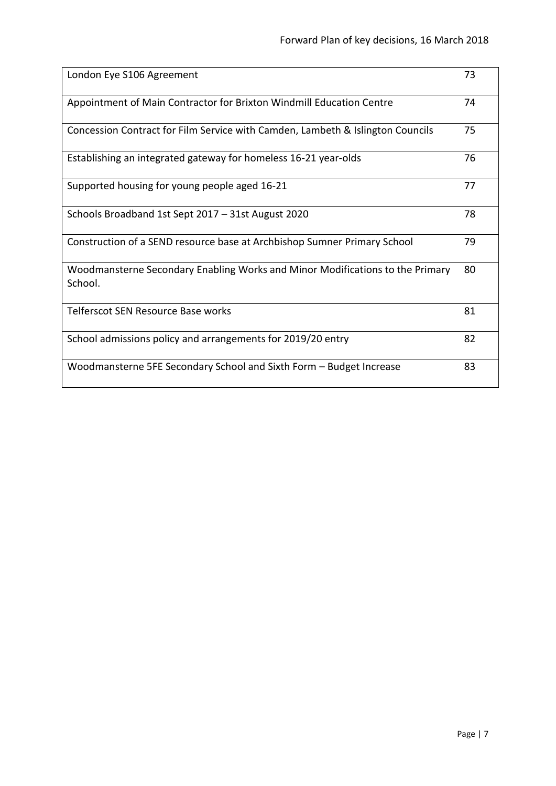| London Eye S106 Agreement                                                                | 73 |
|------------------------------------------------------------------------------------------|----|
| Appointment of Main Contractor for Brixton Windmill Education Centre                     | 74 |
| Concession Contract for Film Service with Camden, Lambeth & Islington Councils           | 75 |
| Establishing an integrated gateway for homeless 16-21 year-olds                          | 76 |
| Supported housing for young people aged 16-21                                            | 77 |
| Schools Broadband 1st Sept 2017 - 31st August 2020                                       | 78 |
| Construction of a SEND resource base at Archbishop Sumner Primary School                 | 79 |
| Woodmansterne Secondary Enabling Works and Minor Modifications to the Primary<br>School. | 80 |
| Telferscot SEN Resource Base works                                                       | 81 |
| School admissions policy and arrangements for 2019/20 entry                              | 82 |
| Woodmansterne 5FE Secondary School and Sixth Form - Budget Increase                      | 83 |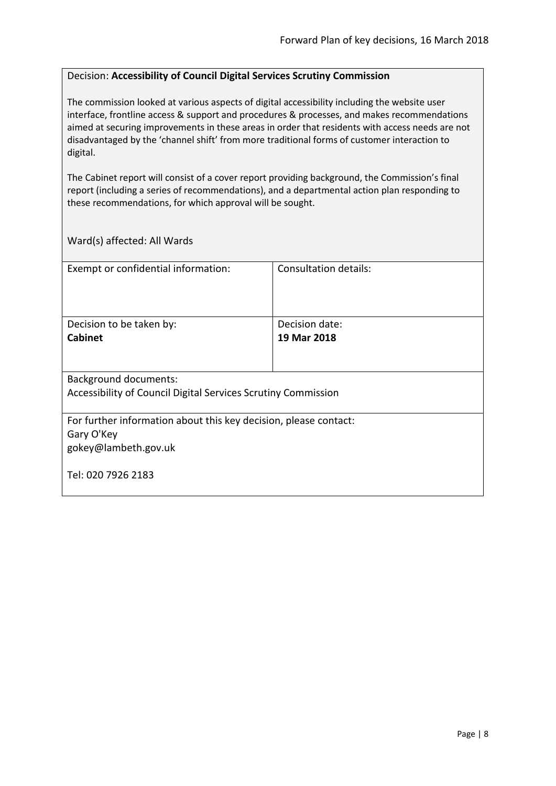#### <span id="page-7-0"></span>Decision: **Accessibility of Council Digital Services Scrutiny Commission**

The commission looked at various aspects of digital accessibility including the website user interface, frontline access & support and procedures & processes, and makes recommendations aimed at securing improvements in these areas in order that residents with access needs are not disadvantaged by the 'channel shift' from more traditional forms of customer interaction to digital.

The Cabinet report will consist of a cover report providing background, the Commission's final report (including a series of recommendations), and a departmental action plan responding to these recommendations, for which approval will be sought.

| Exempt or confidential information:                              | Consultation details: |  |
|------------------------------------------------------------------|-----------------------|--|
|                                                                  |                       |  |
|                                                                  |                       |  |
|                                                                  |                       |  |
| Decision to be taken by:                                         | Decision date:        |  |
| <b>Cabinet</b>                                                   | 19 Mar 2018           |  |
|                                                                  |                       |  |
|                                                                  |                       |  |
| <b>Background documents:</b>                                     |                       |  |
| Accessibility of Council Digital Services Scrutiny Commission    |                       |  |
|                                                                  |                       |  |
| For further information about this key decision, please contact: |                       |  |
| Gary O'Key                                                       |                       |  |
| gokey@lambeth.gov.uk                                             |                       |  |
|                                                                  |                       |  |
| Tel: 020 7926 2183                                               |                       |  |
|                                                                  |                       |  |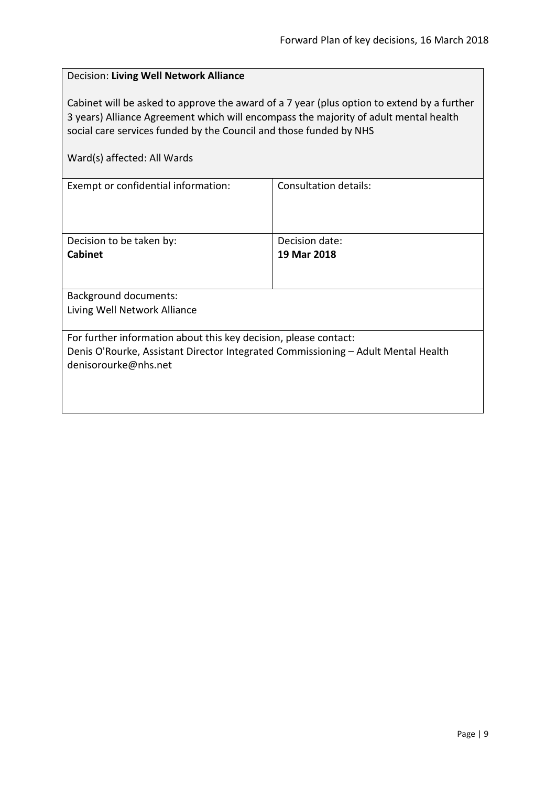<span id="page-8-0"></span>

| Decision: Living Well Network Alliance                                                                                                                                                                                                                                                  |                              |  |
|-----------------------------------------------------------------------------------------------------------------------------------------------------------------------------------------------------------------------------------------------------------------------------------------|------------------------------|--|
| Cabinet will be asked to approve the award of a 7 year (plus option to extend by a further<br>3 years) Alliance Agreement which will encompass the majority of adult mental health<br>social care services funded by the Council and those funded by NHS<br>Ward(s) affected: All Wards |                              |  |
| Exempt or confidential information:                                                                                                                                                                                                                                                     | <b>Consultation details:</b> |  |
| Decision to be taken by:                                                                                                                                                                                                                                                                | Decision date:               |  |
| Cabinet                                                                                                                                                                                                                                                                                 | 19 Mar 2018                  |  |
|                                                                                                                                                                                                                                                                                         |                              |  |
| <b>Background documents:</b>                                                                                                                                                                                                                                                            |                              |  |
| Living Well Network Alliance                                                                                                                                                                                                                                                            |                              |  |
| For further information about this key decision, please contact:                                                                                                                                                                                                                        |                              |  |
| Denis O'Rourke, Assistant Director Integrated Commissioning - Adult Mental Health<br>denisorourke@nhs.net                                                                                                                                                                               |                              |  |
|                                                                                                                                                                                                                                                                                         |                              |  |
|                                                                                                                                                                                                                                                                                         |                              |  |
|                                                                                                                                                                                                                                                                                         |                              |  |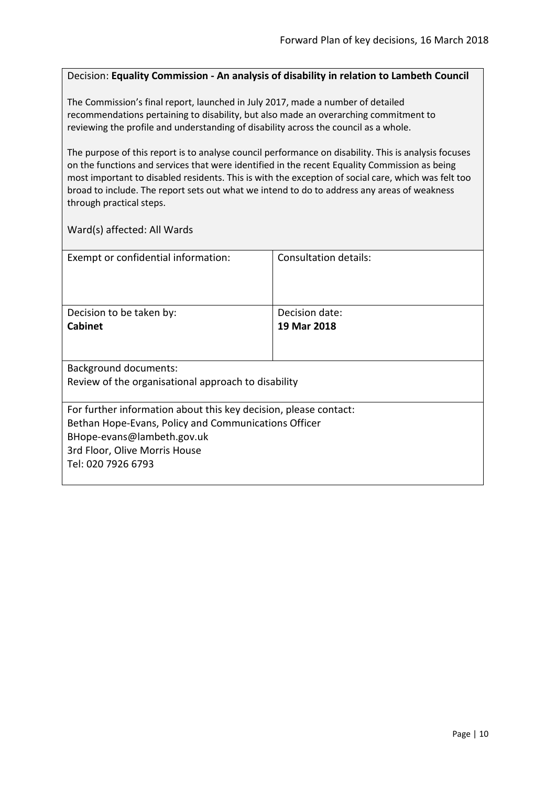#### <span id="page-9-0"></span>Decision: **Equality Commission - An analysis of disability in relation to Lambeth Council**

The Commission's final report, launched in July 2017, made a number of detailed recommendations pertaining to disability, but also made an overarching commitment to reviewing the profile and understanding of disability across the council as a whole.

The purpose of this report is to analyse council performance on disability. This is analysis focuses on the functions and services that were identified in the recent Equality Commission as being most important to disabled residents. This is with the exception of social care, which was felt too broad to include. The report sets out what we intend to do to address any areas of weakness through practical steps.

| Exempt or confidential information:                              | <b>Consultation details:</b> |
|------------------------------------------------------------------|------------------------------|
|                                                                  |                              |
|                                                                  |                              |
|                                                                  |                              |
|                                                                  |                              |
| Decision to be taken by:                                         | Decision date:               |
| <b>Cabinet</b>                                                   | 19 Mar 2018                  |
|                                                                  |                              |
|                                                                  |                              |
|                                                                  |                              |
| <b>Background documents:</b>                                     |                              |
| Review of the organisational approach to disability              |                              |
|                                                                  |                              |
|                                                                  |                              |
| For further information about this key decision, please contact: |                              |
| Bethan Hope-Evans, Policy and Communications Officer             |                              |
| BHope-evans@lambeth.gov.uk                                       |                              |
| 3rd Floor, Olive Morris House                                    |                              |
| Tel: 020 7926 6793                                               |                              |
|                                                                  |                              |
|                                                                  |                              |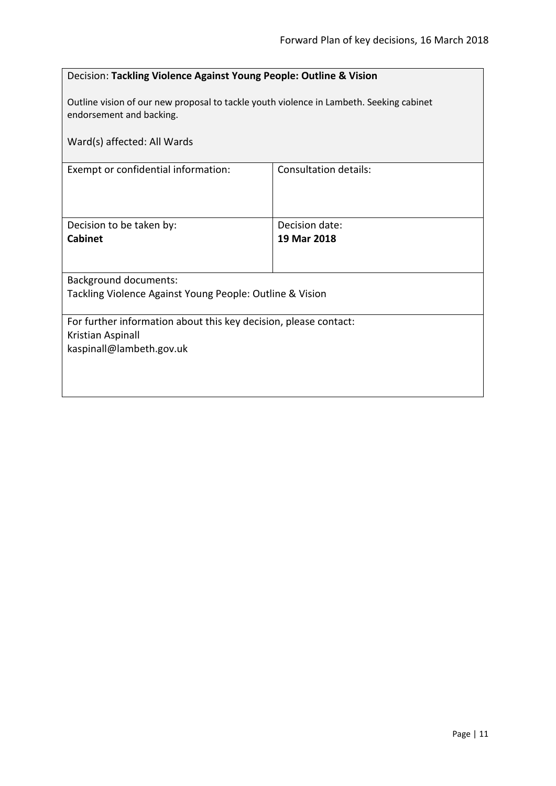<span id="page-10-0"></span>

| Decision: Tackling Violence Against Young People: Outline & Vision                                                  |                              |  |
|---------------------------------------------------------------------------------------------------------------------|------------------------------|--|
| Outline vision of our new proposal to tackle youth violence in Lambeth. Seeking cabinet<br>endorsement and backing. |                              |  |
| Ward(s) affected: All Wards                                                                                         |                              |  |
| Exempt or confidential information:                                                                                 | <b>Consultation details:</b> |  |
|                                                                                                                     |                              |  |
| Decision to be taken by:                                                                                            | Decision date:               |  |
| <b>Cabinet</b>                                                                                                      | 19 Mar 2018                  |  |
|                                                                                                                     |                              |  |
| <b>Background documents:</b>                                                                                        |                              |  |
| Tackling Violence Against Young People: Outline & Vision                                                            |                              |  |
| For further information about this key decision, please contact:                                                    |                              |  |
| Kristian Aspinall                                                                                                   |                              |  |
| kaspinall@lambeth.gov.uk                                                                                            |                              |  |
|                                                                                                                     |                              |  |
|                                                                                                                     |                              |  |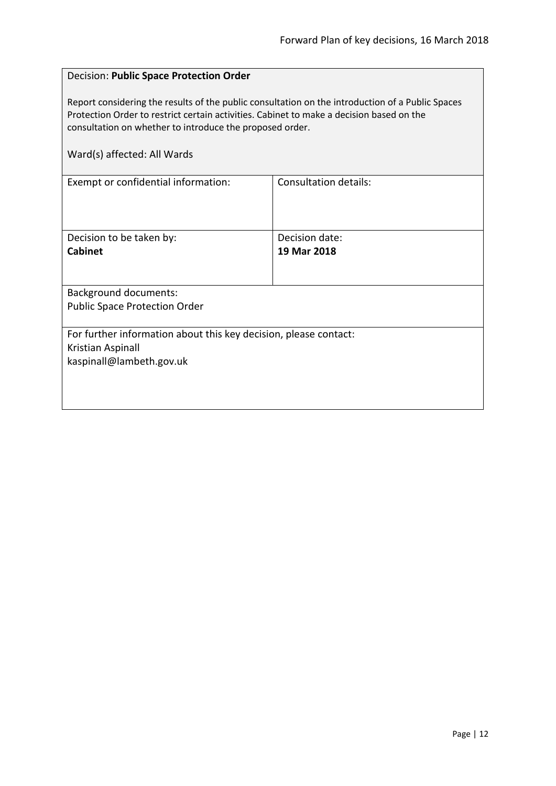#### <span id="page-11-0"></span>Decision: **Public Space Protection Order**

Report considering the results of the public consultation on the introduction of a Public Spaces Protection Order to restrict certain activities. Cabinet to make a decision based on the consultation on whether to introduce the proposed order.

| Exempt or confidential information:                              | Consultation details: |
|------------------------------------------------------------------|-----------------------|
|                                                                  |                       |
| Decision to be taken by:                                         | Decision date:        |
| <b>Cabinet</b>                                                   | 19 Mar 2018           |
|                                                                  |                       |
| <b>Background documents:</b>                                     |                       |
| <b>Public Space Protection Order</b>                             |                       |
|                                                                  |                       |
| For further information about this key decision, please contact: |                       |
| Kristian Aspinall                                                |                       |
| kaspinall@lambeth.gov.uk                                         |                       |
|                                                                  |                       |
|                                                                  |                       |
|                                                                  |                       |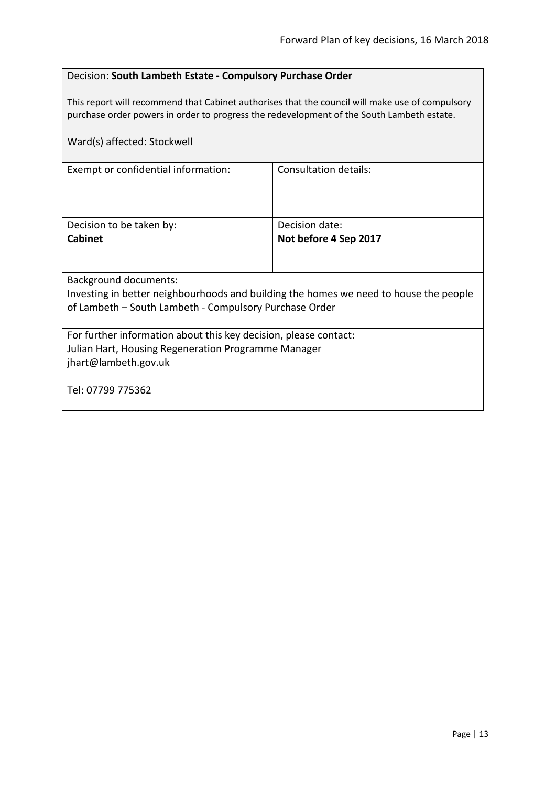# <span id="page-12-0"></span>Decision: **South Lambeth Estate - Compulsory Purchase Order**

This report will recommend that Cabinet authorises that the council will make use of compulsory purchase order powers in order to progress the redevelopment of the South Lambeth estate.

| Ward(s) affected: Stockwell                                                           |                       |  |
|---------------------------------------------------------------------------------------|-----------------------|--|
| Exempt or confidential information:                                                   | Consultation details: |  |
| Decision to be taken by:                                                              | Decision date:        |  |
| <b>Cabinet</b>                                                                        | Not before 4 Sep 2017 |  |
|                                                                                       |                       |  |
| Background documents:                                                                 |                       |  |
| Investing in better neighbourhoods and building the homes we need to house the people |                       |  |
| of Lambeth – South Lambeth - Compulsory Purchase Order                                |                       |  |
| For further information about this key decision, please contact:                      |                       |  |
| Julian Hart, Housing Regeneration Programme Manager                                   |                       |  |
| jhart@lambeth.gov.uk                                                                  |                       |  |
| Tel: 07799 775362                                                                     |                       |  |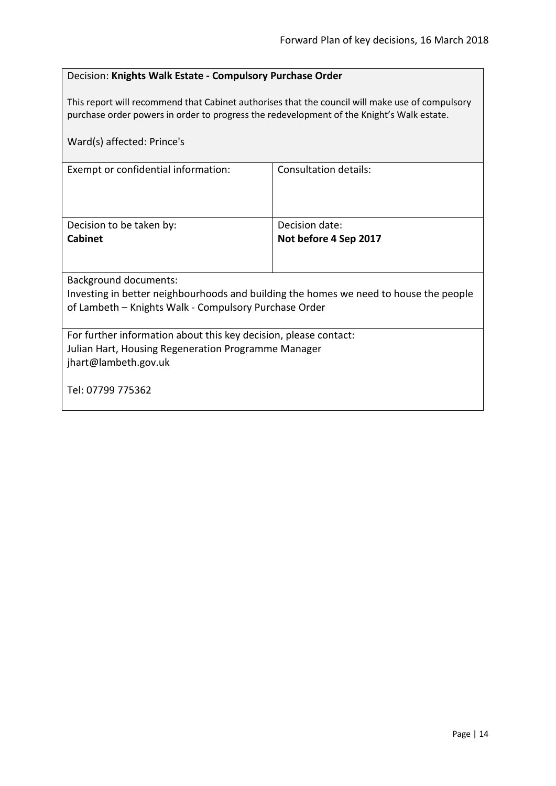# <span id="page-13-0"></span>Decision: **Knights Walk Estate - Compulsory Purchase Order**

This report will recommend that Cabinet authorises that the council will make use of compulsory purchase order powers in order to progress the redevelopment of the Knight's Walk estate.

| Ward(s) affected: Prince's                                                            |                              |  |
|---------------------------------------------------------------------------------------|------------------------------|--|
| Exempt or confidential information:                                                   | <b>Consultation details:</b> |  |
| Decision to be taken by:                                                              | Decision date:               |  |
| <b>Cabinet</b>                                                                        | Not before 4 Sep 2017        |  |
|                                                                                       |                              |  |
| <b>Background documents:</b>                                                          |                              |  |
| Investing in better neighbourhoods and building the homes we need to house the people |                              |  |
| of Lambeth - Knights Walk - Compulsory Purchase Order                                 |                              |  |
| For further information about this key decision, please contact:                      |                              |  |
| Julian Hart, Housing Regeneration Programme Manager                                   |                              |  |
| jhart@lambeth.gov.uk                                                                  |                              |  |
| Tel: 07799 775362                                                                     |                              |  |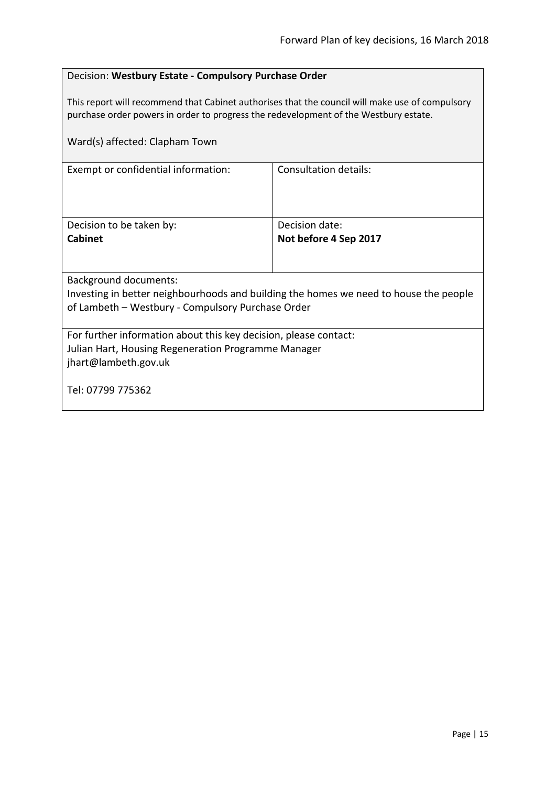# <span id="page-14-0"></span>Decision: **Westbury Estate - Compulsory Purchase Order**

This report will recommend that Cabinet authorises that the council will make use of compulsory purchase order powers in order to progress the redevelopment of the Westbury estate.

| Ward(s) affected: Clapham Town                                                        |                              |  |
|---------------------------------------------------------------------------------------|------------------------------|--|
| Exempt or confidential information:                                                   | <b>Consultation details:</b> |  |
| Decision to be taken by:                                                              | Decision date:               |  |
| <b>Cabinet</b>                                                                        | Not before 4 Sep 2017        |  |
|                                                                                       |                              |  |
| <b>Background documents:</b>                                                          |                              |  |
| Investing in better neighbourhoods and building the homes we need to house the people |                              |  |
| of Lambeth - Westbury - Compulsory Purchase Order                                     |                              |  |
| For further information about this key decision, please contact:                      |                              |  |
| Julian Hart, Housing Regeneration Programme Manager                                   |                              |  |
| jhart@lambeth.gov.uk                                                                  |                              |  |
| Tel: 07799 775362                                                                     |                              |  |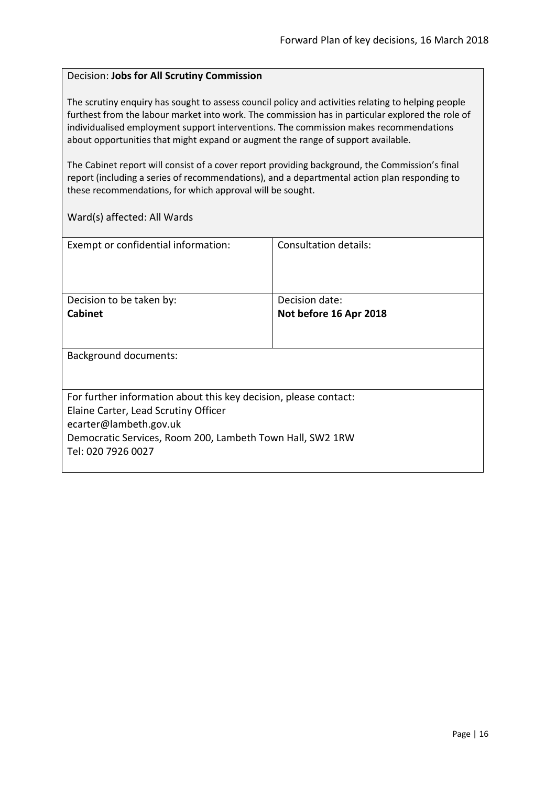#### <span id="page-15-0"></span>Decision: **Jobs for All Scrutiny Commission**

The scrutiny enquiry has sought to assess council policy and activities relating to helping people furthest from the labour market into work. The commission has in particular explored the role of individualised employment support interventions. The commission makes recommendations about opportunities that might expand or augment the range of support available.

The Cabinet report will consist of a cover report providing background, the Commission's final report (including a series of recommendations), and a departmental action plan responding to these recommendations, for which approval will be sought.

| Exempt or confidential information:                                                                                                                                                                                   | Consultation details:  |
|-----------------------------------------------------------------------------------------------------------------------------------------------------------------------------------------------------------------------|------------------------|
| Decision to be taken by:                                                                                                                                                                                              | Decision date:         |
| <b>Cabinet</b>                                                                                                                                                                                                        | Not before 16 Apr 2018 |
| <b>Background documents:</b>                                                                                                                                                                                          |                        |
| For further information about this key decision, please contact:<br>Elaine Carter, Lead Scrutiny Officer<br>ecarter@lambeth.gov.uk<br>Democratic Services, Room 200, Lambeth Town Hall, SW2 1RW<br>Tel: 020 7926 0027 |                        |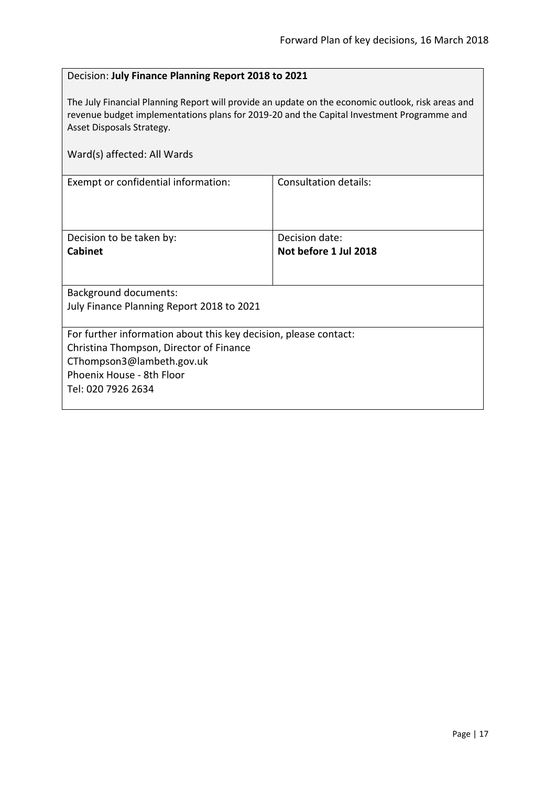# <span id="page-16-0"></span>Decision: **July Finance Planning Report 2018 to 2021**

The July Financial Planning Report will provide an update on the economic outlook, risk areas and revenue budget implementations plans for 2019-20 and the Capital Investment Programme and Asset Disposals Strategy.

| Ward(s) affected: All Wards                                                                                                                                                                 |                                         |  |
|---------------------------------------------------------------------------------------------------------------------------------------------------------------------------------------------|-----------------------------------------|--|
| Exempt or confidential information:                                                                                                                                                         | <b>Consultation details:</b>            |  |
| Decision to be taken by:<br><b>Cabinet</b>                                                                                                                                                  | Decision date:<br>Not before 1 Jul 2018 |  |
| <b>Background documents:</b><br>July Finance Planning Report 2018 to 2021                                                                                                                   |                                         |  |
| For further information about this key decision, please contact:<br>Christina Thompson, Director of Finance<br>CThompson3@lambeth.gov.uk<br>Phoenix House - 8th Floor<br>Tel: 020 7926 2634 |                                         |  |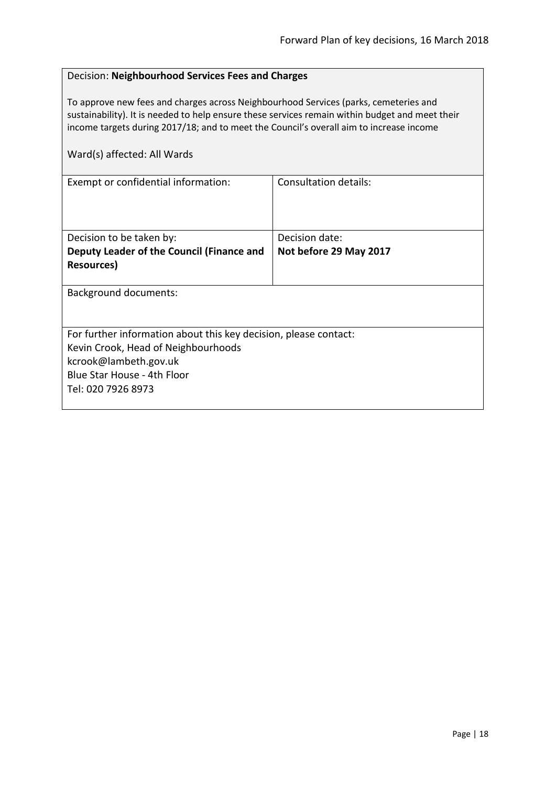#### <span id="page-17-0"></span>Decision: **Neighbourhood Services Fees and Charges**

To approve new fees and charges across Neighbourhood Services (parks, cemeteries and sustainability). It is needed to help ensure these services remain within budget and meet their income targets during 2017/18; and to meet the Council's overall aim to increase income

| Consultation details:                                            |
|------------------------------------------------------------------|
|                                                                  |
|                                                                  |
|                                                                  |
| Decision date:                                                   |
| Not before 29 May 2017                                           |
|                                                                  |
|                                                                  |
|                                                                  |
|                                                                  |
|                                                                  |
| For further information about this key decision, please contact: |
|                                                                  |
|                                                                  |
|                                                                  |
|                                                                  |
|                                                                  |
|                                                                  |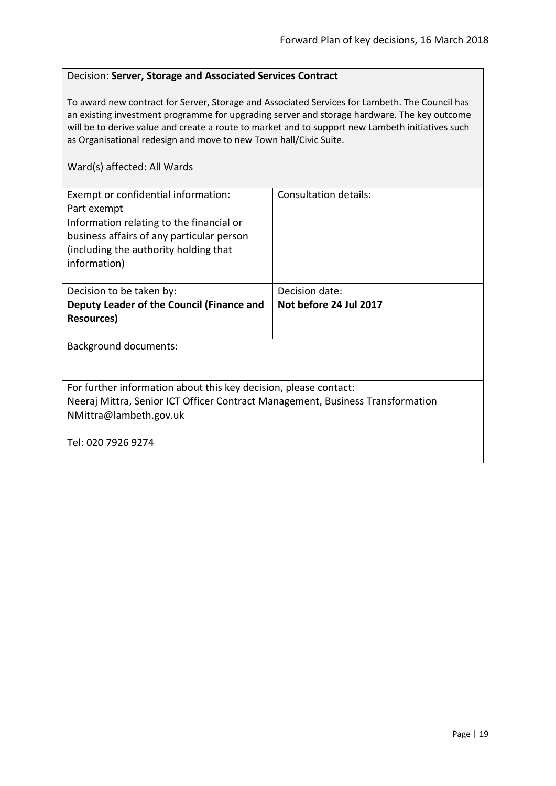### <span id="page-18-0"></span>Decision: **Server, Storage and Associated Services Contract**

To award new contract for Server, Storage and Associated Services for Lambeth. The Council has an existing investment programme for upgrading server and storage hardware. The key outcome will be to derive value and create a route to market and to support new Lambeth initiatives such as Organisational redesign and move to new Town hall/Civic Suite.

| Exempt or confidential information:<br>Part exempt<br>Information relating to the financial or<br>business affairs of any particular person<br>(including the authority holding that<br>information) | Consultation details:  |  |
|------------------------------------------------------------------------------------------------------------------------------------------------------------------------------------------------------|------------------------|--|
| Decision to be taken by:                                                                                                                                                                             | Decision date:         |  |
| Deputy Leader of the Council (Finance and                                                                                                                                                            | Not before 24 Jul 2017 |  |
| <b>Resources</b> )                                                                                                                                                                                   |                        |  |
| <b>Background documents:</b>                                                                                                                                                                         |                        |  |
| For further information about this key decision, please contact:<br>Neeraj Mittra, Senior ICT Officer Contract Management, Business Transformation<br>NMittra@lambeth.gov.uk                         |                        |  |
| Tel: 020 7926 9274                                                                                                                                                                                   |                        |  |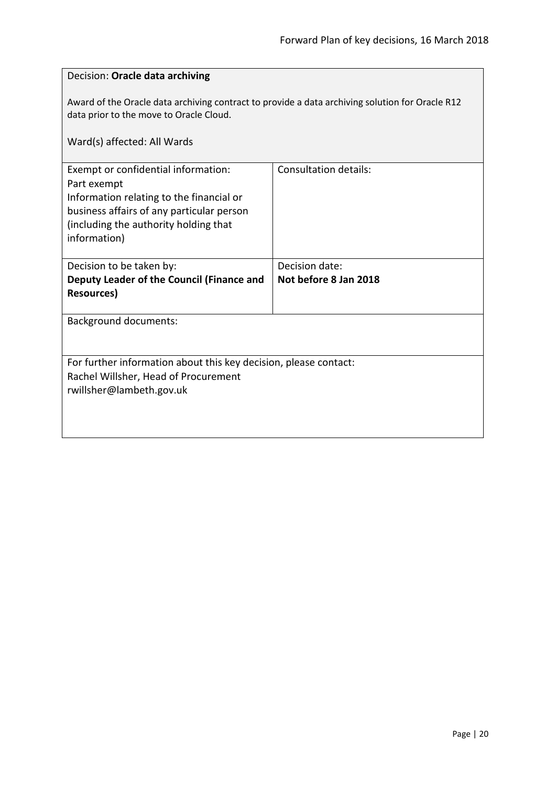<span id="page-19-0"></span>

| Decision: Oracle data archiving                                                                                                                                                                      |                              |  |
|------------------------------------------------------------------------------------------------------------------------------------------------------------------------------------------------------|------------------------------|--|
| Award of the Oracle data archiving contract to provide a data archiving solution for Oracle R12<br>data prior to the move to Oracle Cloud.<br>Ward(s) affected: All Wards                            |                              |  |
|                                                                                                                                                                                                      |                              |  |
| Exempt or confidential information:<br>Part exempt<br>Information relating to the financial or<br>business affairs of any particular person<br>(including the authority holding that<br>information) | <b>Consultation details:</b> |  |
| Decision to be taken by:                                                                                                                                                                             | Decision date:               |  |
| Deputy Leader of the Council (Finance and<br><b>Resources)</b>                                                                                                                                       | Not before 8 Jan 2018        |  |
| <b>Background documents:</b>                                                                                                                                                                         |                              |  |
| For further information about this key decision, please contact:                                                                                                                                     |                              |  |
| Rachel Willsher, Head of Procurement                                                                                                                                                                 |                              |  |
| rwillsher@lambeth.gov.uk                                                                                                                                                                             |                              |  |
|                                                                                                                                                                                                      |                              |  |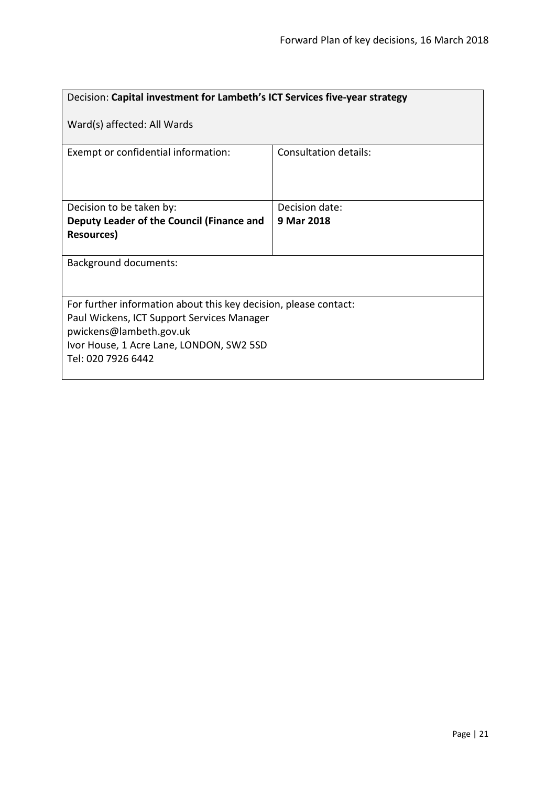<span id="page-20-0"></span>

| Decision: Capital investment for Lambeth's ICT Services five-year strategy                                                                                                                                  |                              |  |
|-------------------------------------------------------------------------------------------------------------------------------------------------------------------------------------------------------------|------------------------------|--|
| Ward(s) affected: All Wards                                                                                                                                                                                 |                              |  |
| Exempt or confidential information:                                                                                                                                                                         | <b>Consultation details:</b> |  |
| Decision to be taken by:                                                                                                                                                                                    | Decision date:               |  |
| Deputy Leader of the Council (Finance and<br><b>Resources</b> )                                                                                                                                             | 9 Mar 2018                   |  |
| <b>Background documents:</b>                                                                                                                                                                                |                              |  |
| For further information about this key decision, please contact:<br>Paul Wickens, ICT Support Services Manager<br>pwickens@lambeth.gov.uk<br>Ivor House, 1 Acre Lane, LONDON, SW2 5SD<br>Tel: 020 7926 6442 |                              |  |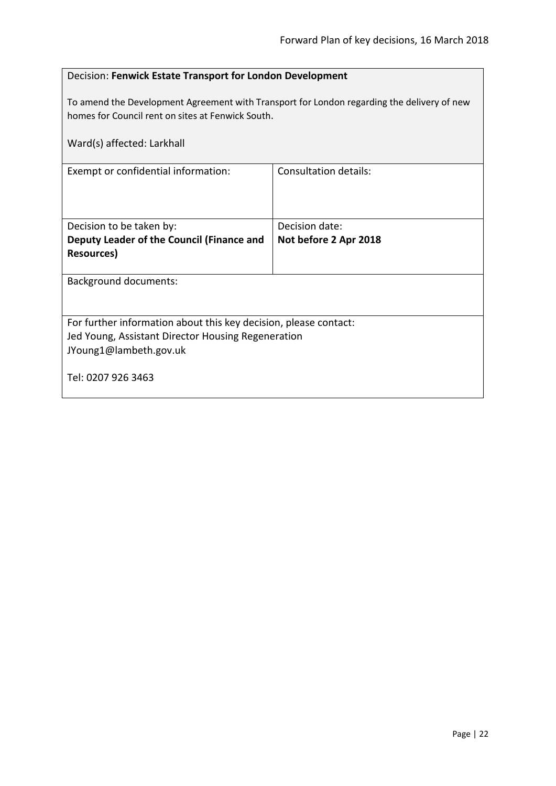<span id="page-21-0"></span>

| Decision: Fenwick Estate Transport for London Development                                                                                       |                       |  |
|-------------------------------------------------------------------------------------------------------------------------------------------------|-----------------------|--|
| To amend the Development Agreement with Transport for London regarding the delivery of new<br>homes for Council rent on sites at Fenwick South. |                       |  |
| Ward(s) affected: Larkhall                                                                                                                      |                       |  |
| Exempt or confidential information:                                                                                                             | Consultation details: |  |
|                                                                                                                                                 |                       |  |
| Decision to be taken by:                                                                                                                        | Decision date:        |  |
| Deputy Leader of the Council (Finance and                                                                                                       | Not before 2 Apr 2018 |  |
| <b>Resources)</b>                                                                                                                               |                       |  |
| <b>Background documents:</b>                                                                                                                    |                       |  |
|                                                                                                                                                 |                       |  |
| For further information about this key decision, please contact:                                                                                |                       |  |
| Jed Young, Assistant Director Housing Regeneration                                                                                              |                       |  |
| JYoung1@lambeth.gov.uk                                                                                                                          |                       |  |
| Tel: 0207 926 3463                                                                                                                              |                       |  |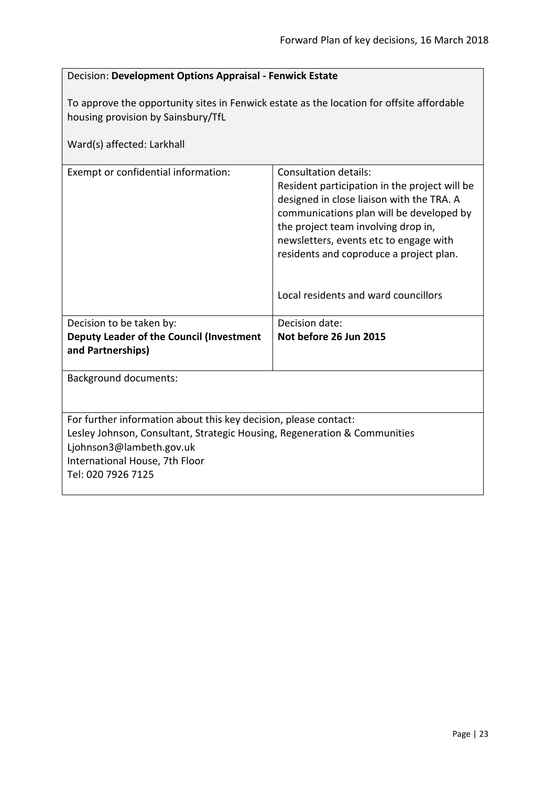<span id="page-22-0"></span>

| Decision: Development Options Appraisal - Fenwick Estate |  |
|----------------------------------------------------------|--|
|                                                          |  |

To approve the opportunity sites in Fenwick estate as the location for offsite affordable housing provision by Sainsbury/TfL

| Ward(s) affected: Larkhall                                                                                                                                                                                                        |                                                                                                                                                                                                                                                                                                                                     |
|-----------------------------------------------------------------------------------------------------------------------------------------------------------------------------------------------------------------------------------|-------------------------------------------------------------------------------------------------------------------------------------------------------------------------------------------------------------------------------------------------------------------------------------------------------------------------------------|
| Exempt or confidential information:                                                                                                                                                                                               | Consultation details:<br>Resident participation in the project will be<br>designed in close liaison with the TRA. A<br>communications plan will be developed by<br>the project team involving drop in,<br>newsletters, events etc to engage with<br>residents and coproduce a project plan.<br>Local residents and ward councillors |
| Decision to be taken by:                                                                                                                                                                                                          | Decision date:                                                                                                                                                                                                                                                                                                                      |
| Deputy Leader of the Council (Investment<br>and Partnerships)                                                                                                                                                                     | Not before 26 Jun 2015                                                                                                                                                                                                                                                                                                              |
| <b>Background documents:</b>                                                                                                                                                                                                      |                                                                                                                                                                                                                                                                                                                                     |
| For further information about this key decision, please contact:<br>Lesley Johnson, Consultant, Strategic Housing, Regeneration & Communities<br>Ljohnson3@lambeth.gov.uk<br>International House, 7th Floor<br>Tel: 020 7926 7125 |                                                                                                                                                                                                                                                                                                                                     |
|                                                                                                                                                                                                                                   |                                                                                                                                                                                                                                                                                                                                     |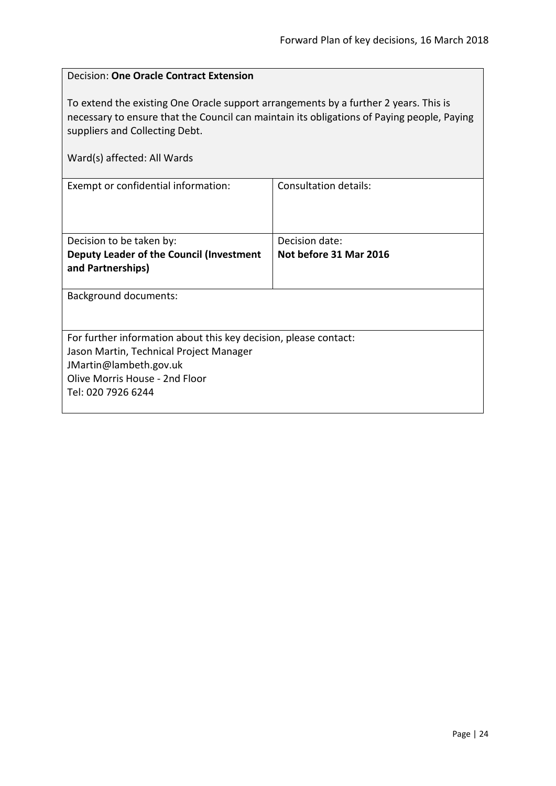<span id="page-23-0"></span>

| <b>Decision: One Oracle Contract Extension</b>                                                                                                                                                                                                      |                              |  |
|-----------------------------------------------------------------------------------------------------------------------------------------------------------------------------------------------------------------------------------------------------|------------------------------|--|
| To extend the existing One Oracle support arrangements by a further 2 years. This is<br>necessary to ensure that the Council can maintain its obligations of Paying people, Paying<br>suppliers and Collecting Debt.<br>Ward(s) affected: All Wards |                              |  |
|                                                                                                                                                                                                                                                     |                              |  |
| Exempt or confidential information:                                                                                                                                                                                                                 | <b>Consultation details:</b> |  |
| Decision to be taken by:                                                                                                                                                                                                                            | Decision date:               |  |
| Deputy Leader of the Council (Investment<br>and Partnerships)                                                                                                                                                                                       | Not before 31 Mar 2016       |  |
| <b>Background documents:</b>                                                                                                                                                                                                                        |                              |  |
| For further information about this key decision, please contact:                                                                                                                                                                                    |                              |  |
| Jason Martin, Technical Project Manager                                                                                                                                                                                                             |                              |  |
| JMartin@lambeth.gov.uk                                                                                                                                                                                                                              |                              |  |
| Olive Morris House - 2nd Floor                                                                                                                                                                                                                      |                              |  |
| Tel: 020 7926 6244                                                                                                                                                                                                                                  |                              |  |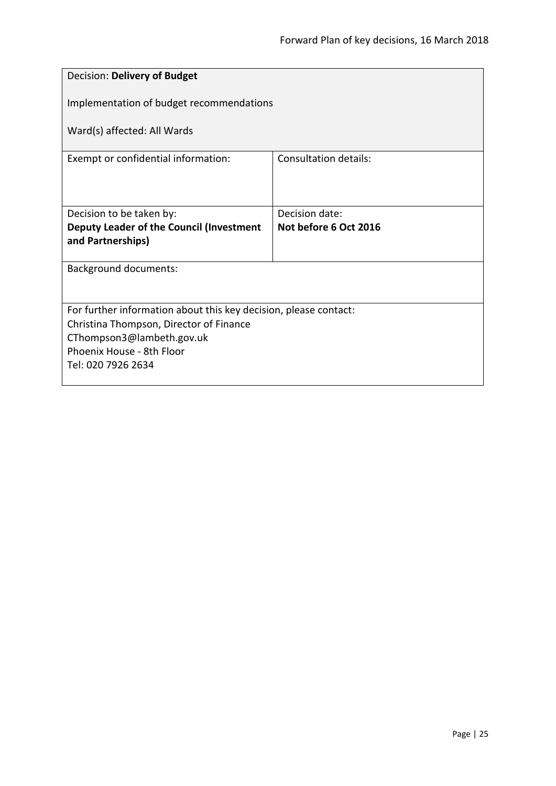<span id="page-24-0"></span>

| Decision: Delivery of Budget                                     |                       |  |
|------------------------------------------------------------------|-----------------------|--|
| Implementation of budget recommendations                         |                       |  |
| Ward(s) affected: All Wards                                      |                       |  |
| Exempt or confidential information:                              | Consultation details: |  |
|                                                                  |                       |  |
| Decision to be taken by:                                         | Decision date:        |  |
| Deputy Leader of the Council (Investment<br>and Partnerships)    | Not before 6 Oct 2016 |  |
|                                                                  |                       |  |
| <b>Background documents:</b>                                     |                       |  |
|                                                                  |                       |  |
| For further information about this key decision, please contact: |                       |  |
| Christina Thompson, Director of Finance                          |                       |  |
| CThompson3@lambeth.gov.uk                                        |                       |  |
| Phoenix House - 8th Floor<br>Tel: 020 7926 2634                  |                       |  |
|                                                                  |                       |  |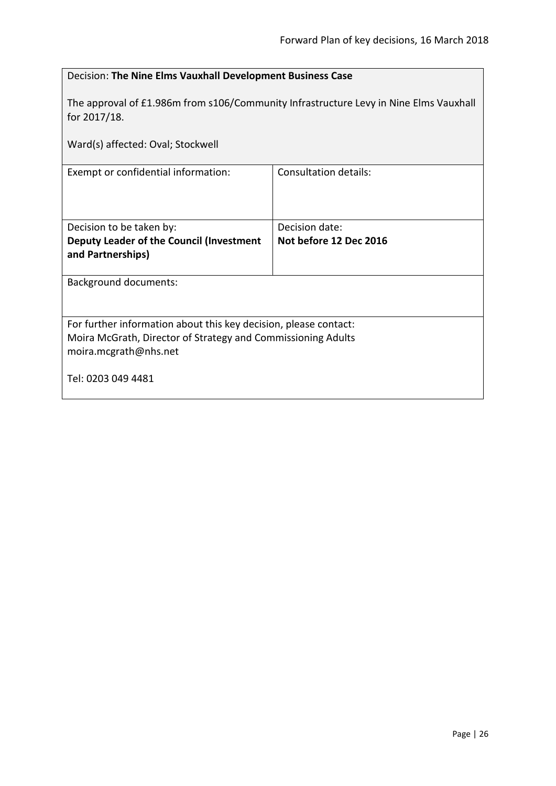<span id="page-25-0"></span>

| Decision: The Nine Elms Vauxhall Development Business Case                                                                                                |                                          |  |
|-----------------------------------------------------------------------------------------------------------------------------------------------------------|------------------------------------------|--|
| The approval of £1.986m from s106/Community Infrastructure Levy in Nine Elms Vauxhall<br>for 2017/18.                                                     |                                          |  |
| Ward(s) affected: Oval; Stockwell                                                                                                                         |                                          |  |
| Exempt or confidential information:                                                                                                                       | Consultation details:                    |  |
|                                                                                                                                                           |                                          |  |
| Decision to be taken by:<br>Deputy Leader of the Council (Investment<br>and Partnerships)                                                                 | Decision date:<br>Not before 12 Dec 2016 |  |
| <b>Background documents:</b>                                                                                                                              |                                          |  |
| For further information about this key decision, please contact:<br>Moira McGrath, Director of Strategy and Commissioning Adults<br>moira.mcgrath@nhs.net |                                          |  |
| Tel: 0203 049 4481                                                                                                                                        |                                          |  |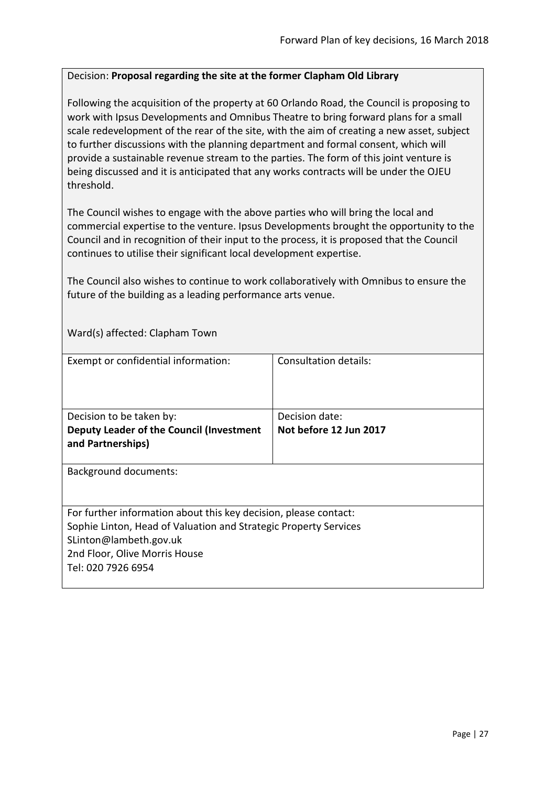#### <span id="page-26-0"></span>Decision: **Proposal regarding the site at the former Clapham Old Library**

Following the acquisition of the property at 60 Orlando Road, the Council is proposing to work with Ipsus Developments and Omnibus Theatre to bring forward plans for a small scale redevelopment of the rear of the site, with the aim of creating a new asset, subject to further discussions with the planning department and formal consent, which will provide a sustainable revenue stream to the parties. The form of this joint venture is being discussed and it is anticipated that any works contracts will be under the OJEU threshold.

The Council wishes to engage with the above parties who will bring the local and commercial expertise to the venture. Ipsus Developments brought the opportunity to the Council and in recognition of their input to the process, it is proposed that the Council continues to utilise their significant local development expertise.

The Council also wishes to continue to work collaboratively with Omnibus to ensure the future of the building as a leading performance arts venue.

Ward(s) affected: Clapham Town

| Exempt or confidential information:                                                                                                                                                                                   | Consultation details:  |
|-----------------------------------------------------------------------------------------------------------------------------------------------------------------------------------------------------------------------|------------------------|
| Decision to be taken by:                                                                                                                                                                                              | Decision date:         |
| Deputy Leader of the Council (Investment<br>and Partnerships)                                                                                                                                                         | Not before 12 Jun 2017 |
| <b>Background documents:</b>                                                                                                                                                                                          |                        |
| For further information about this key decision, please contact:<br>Sophie Linton, Head of Valuation and Strategic Property Services<br>SLinton@lambeth.gov.uk<br>2nd Floor, Olive Morris House<br>Tel: 020 7926 6954 |                        |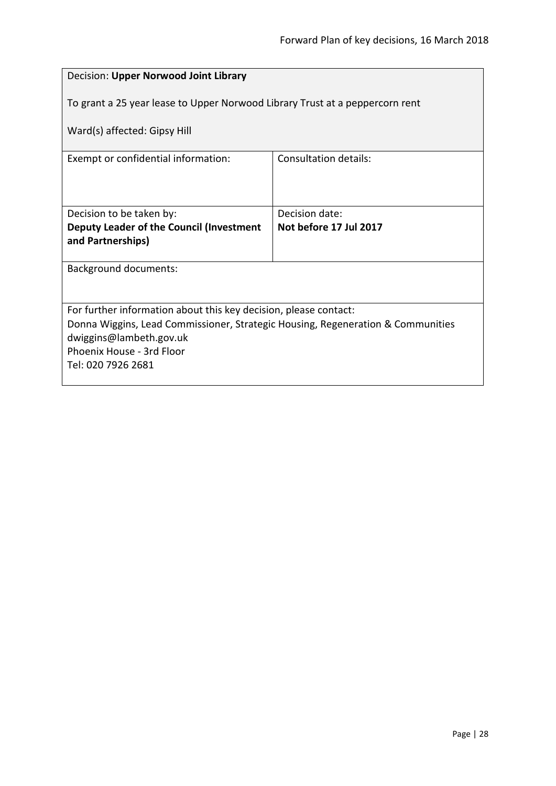<span id="page-27-0"></span>

| Decision: Upper Norwood Joint Library                                           |                              |
|---------------------------------------------------------------------------------|------------------------------|
| To grant a 25 year lease to Upper Norwood Library Trust at a peppercorn rent    |                              |
| Ward(s) affected: Gipsy Hill                                                    |                              |
| Exempt or confidential information:                                             | <b>Consultation details:</b> |
|                                                                                 |                              |
| Decision to be taken by:                                                        | Decision date:               |
| Deputy Leader of the Council (Investment                                        | Not before 17 Jul 2017       |
| and Partnerships)                                                               |                              |
| Background documents:                                                           |                              |
|                                                                                 |                              |
| For further information about this key decision, please contact:                |                              |
| Donna Wiggins, Lead Commissioner, Strategic Housing, Regeneration & Communities |                              |
| dwiggins@lambeth.gov.uk<br>Phoenix House - 3rd Floor                            |                              |
| Tel: 020 7926 2681                                                              |                              |
|                                                                                 |                              |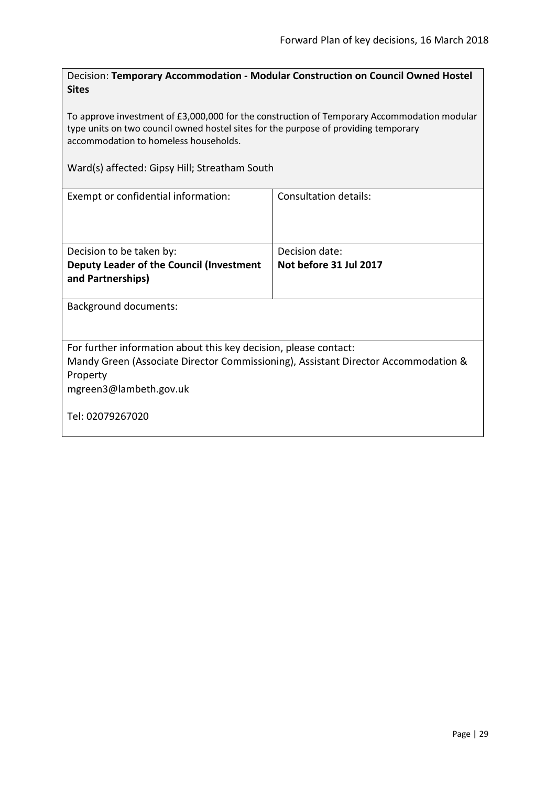<span id="page-28-0"></span>Decision: **Temporary Accommodation - Modular Construction on Council Owned Hostel Sites**

To approve investment of £3,000,000 for the construction of Temporary Accommodation modular type units on two council owned hostel sites for the purpose of providing temporary accommodation to homeless households.

Ward(s) affected: Gipsy Hill; Streatham South

| Exempt or confidential information:                                                | Consultation details:  |
|------------------------------------------------------------------------------------|------------------------|
|                                                                                    |                        |
| Decision to be taken by:                                                           | Decision date:         |
| Deputy Leader of the Council (Investment                                           | Not before 31 Jul 2017 |
| and Partnerships)                                                                  |                        |
|                                                                                    |                        |
| Background documents:                                                              |                        |
|                                                                                    |                        |
| For further information about this key decision, please contact:                   |                        |
| Mandy Green (Associate Director Commissioning), Assistant Director Accommodation & |                        |
| Property                                                                           |                        |
| mgreen3@lambeth.gov.uk                                                             |                        |
|                                                                                    |                        |
| Tel: 02079267020                                                                   |                        |
|                                                                                    |                        |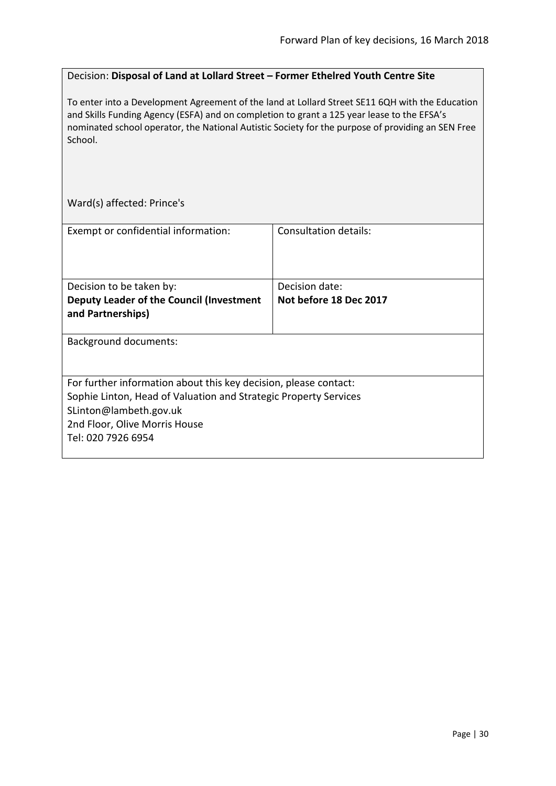#### <span id="page-29-0"></span>Decision: **Disposal of Land at Lollard Street – Former Ethelred Youth Centre Site**

To enter into a Development Agreement of the land at Lollard Street SE11 6QH with the Education and Skills Funding Agency (ESFA) and on completion to grant a 125 year lease to the EFSA's nominated school operator, the National Autistic Society for the purpose of providing an SEN Free School.

Ward(s) affected: Prince's

| Exempt or confidential information:                                                                                                                                                                                   | Consultation details:  |
|-----------------------------------------------------------------------------------------------------------------------------------------------------------------------------------------------------------------------|------------------------|
|                                                                                                                                                                                                                       |                        |
| Decision to be taken by:                                                                                                                                                                                              | Decision date:         |
| Deputy Leader of the Council (Investment<br>and Partnerships)                                                                                                                                                         | Not before 18 Dec 2017 |
| <b>Background documents:</b>                                                                                                                                                                                          |                        |
| For further information about this key decision, please contact:<br>Sophie Linton, Head of Valuation and Strategic Property Services<br>SLinton@lambeth.gov.uk<br>2nd Floor, Olive Morris House<br>Tel: 020 7926 6954 |                        |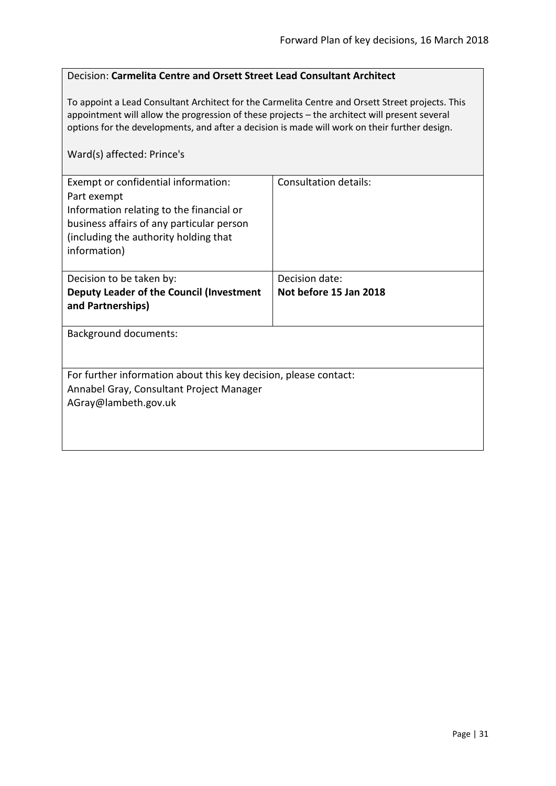#### <span id="page-30-0"></span>Decision: **Carmelita Centre and Orsett Street Lead Consultant Architect**

To appoint a Lead Consultant Architect for the Carmelita Centre and Orsett Street projects. This appointment will allow the progression of these projects – the architect will present several options for the developments, and after a decision is made will work on their further design.

### Ward(s) affected: Prince's

| Exempt or confidential information:<br>Part exempt<br>Information relating to the financial or<br>business affairs of any particular person<br>(including the authority holding that<br>information) | Consultation details:  |
|------------------------------------------------------------------------------------------------------------------------------------------------------------------------------------------------------|------------------------|
| Decision to be taken by:                                                                                                                                                                             | Decision date:         |
| Deputy Leader of the Council (Investment<br>and Partnerships)                                                                                                                                        | Not before 15 Jan 2018 |
| <b>Background documents:</b>                                                                                                                                                                         |                        |
| For further information about this key decision, please contact:<br>Annabel Gray, Consultant Project Manager<br>AGray@lambeth.gov.uk                                                                 |                        |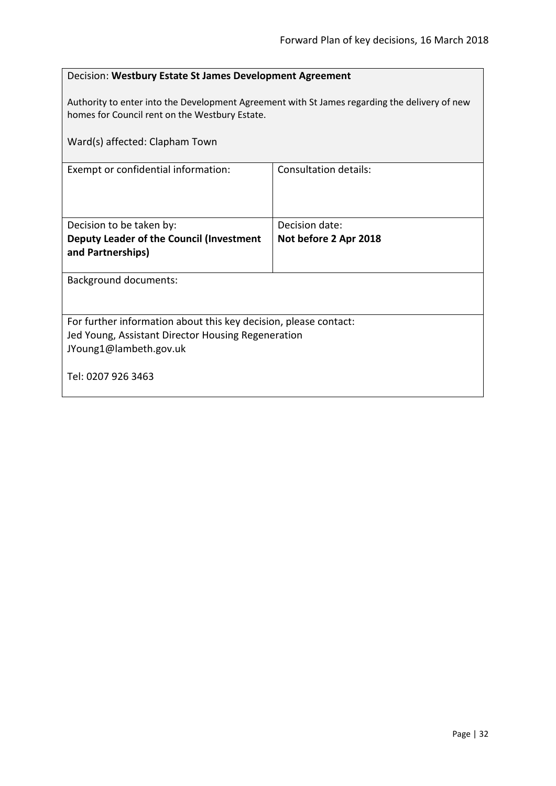<span id="page-31-0"></span>

| Decision: Westbury Estate St James Development Agreement                                                                                        |                              |
|-------------------------------------------------------------------------------------------------------------------------------------------------|------------------------------|
| Authority to enter into the Development Agreement with St James regarding the delivery of new<br>homes for Council rent on the Westbury Estate. |                              |
| Ward(s) affected: Clapham Town                                                                                                                  |                              |
| Exempt or confidential information:                                                                                                             | <b>Consultation details:</b> |
|                                                                                                                                                 |                              |
| Decision to be taken by:                                                                                                                        | Decision date:               |
| Deputy Leader of the Council (Investment<br>and Partnerships)                                                                                   | Not before 2 Apr 2018        |
| <b>Background documents:</b>                                                                                                                    |                              |
| For further information about this key decision, please contact:                                                                                |                              |
| Jed Young, Assistant Director Housing Regeneration                                                                                              |                              |
| JYoung1@lambeth.gov.uk                                                                                                                          |                              |
| Tel: 0207 926 3463                                                                                                                              |                              |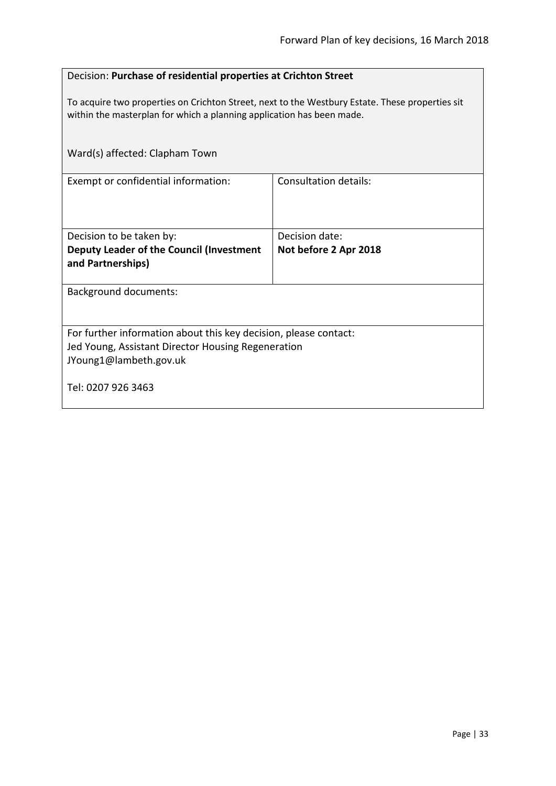# <span id="page-32-0"></span>Decision: **Purchase of residential properties at Crichton Street**

To acquire two properties on Crichton Street, next to the Westbury Estate. These properties sit within the masterplan for which a planning application has been made.

| Ward(s) affected: Clapham Town                                   |                       |
|------------------------------------------------------------------|-----------------------|
| Exempt or confidential information:                              | Consultation details: |
| Decision to be taken by:                                         | Decision date:        |
| Deputy Leader of the Council (Investment<br>and Partnerships)    | Not before 2 Apr 2018 |
| <b>Background documents:</b>                                     |                       |
| For further information about this key decision, please contact: |                       |
| Jed Young, Assistant Director Housing Regeneration               |                       |
| JYoung1@lambeth.gov.uk                                           |                       |
| Tel: 0207 926 3463                                               |                       |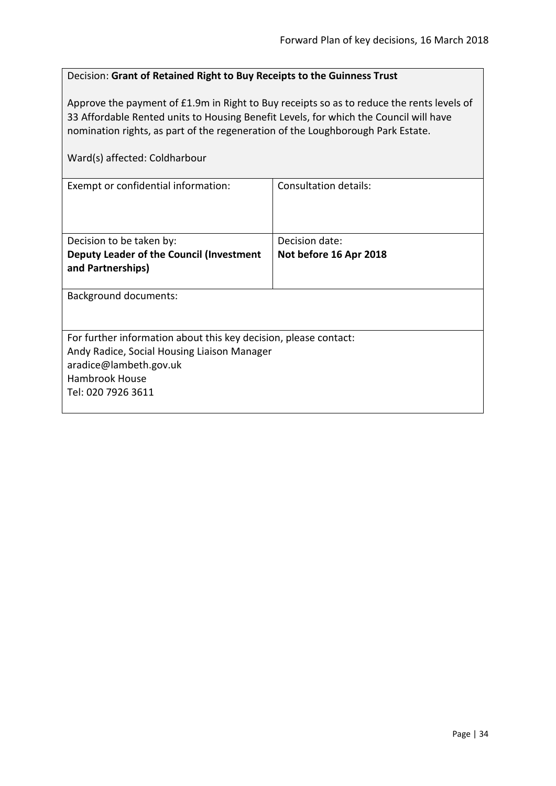<span id="page-33-0"></span>

| Decision: Grant of Retained Right to Buy Receipts to the Guinness Trust                                                                                                                                                                                                                                |                              |
|--------------------------------------------------------------------------------------------------------------------------------------------------------------------------------------------------------------------------------------------------------------------------------------------------------|------------------------------|
| Approve the payment of £1.9m in Right to Buy receipts so as to reduce the rents levels of<br>33 Affordable Rented units to Housing Benefit Levels, for which the Council will have<br>nomination rights, as part of the regeneration of the Loughborough Park Estate.<br>Ward(s) affected: Coldharbour |                              |
|                                                                                                                                                                                                                                                                                                        |                              |
| Exempt or confidential information:                                                                                                                                                                                                                                                                    | <b>Consultation details:</b> |
| Decision to be taken by:                                                                                                                                                                                                                                                                               | Decision date:               |
| Deputy Leader of the Council (Investment<br>and Partnerships)                                                                                                                                                                                                                                          | Not before 16 Apr 2018       |
| <b>Background documents:</b>                                                                                                                                                                                                                                                                           |                              |
| For further information about this key decision, please contact:<br>Andy Radice, Social Housing Liaison Manager<br>aradice@lambeth.gov.uk<br>Hambrook House<br>Tel: 020 7926 3611                                                                                                                      |                              |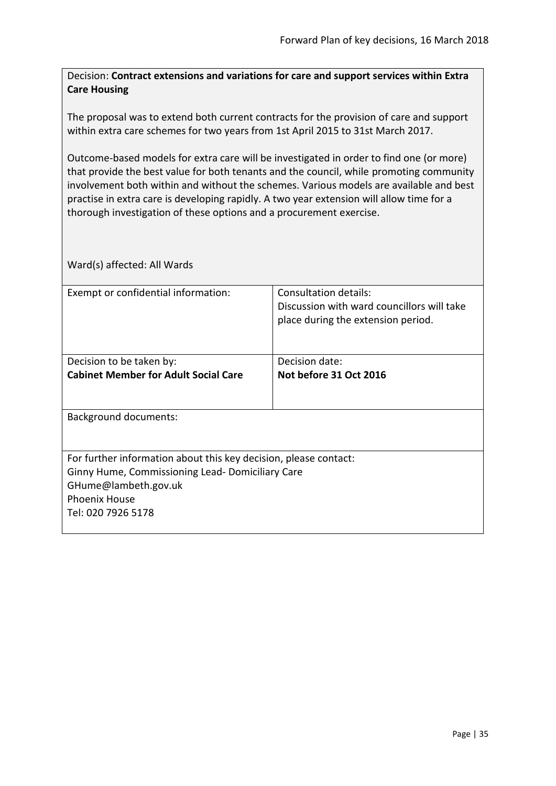<span id="page-34-0"></span>Decision: **Contract extensions and variations for care and support services within Extra Care Housing**

The proposal was to extend both current contracts for the provision of care and support within extra care schemes for two years from 1st April 2015 to 31st March 2017.

Outcome-based models for extra care will be investigated in order to find one (or more) that provide the best value for both tenants and the council, while promoting community involvement both within and without the schemes. Various models are available and best practise in extra care is developing rapidly. A two year extension will allow time for a thorough investigation of these options and a procurement exercise.

| Exempt or confidential information:                              | Consultation details:                      |
|------------------------------------------------------------------|--------------------------------------------|
|                                                                  | Discussion with ward councillors will take |
|                                                                  | place during the extension period.         |
|                                                                  |                                            |
|                                                                  |                                            |
| Decision to be taken by:                                         | Decision date:                             |
| <b>Cabinet Member for Adult Social Care</b>                      | Not before 31 Oct 2016                     |
|                                                                  |                                            |
|                                                                  |                                            |
| <b>Background documents:</b>                                     |                                            |
|                                                                  |                                            |
|                                                                  |                                            |
| For further information about this key decision, please contact: |                                            |
| Ginny Hume, Commissioning Lead- Domiciliary Care                 |                                            |
|                                                                  |                                            |
| GHume@lambeth.gov.uk                                             |                                            |
| <b>Phoenix House</b>                                             |                                            |
| Tel: 020 7926 5178                                               |                                            |
|                                                                  |                                            |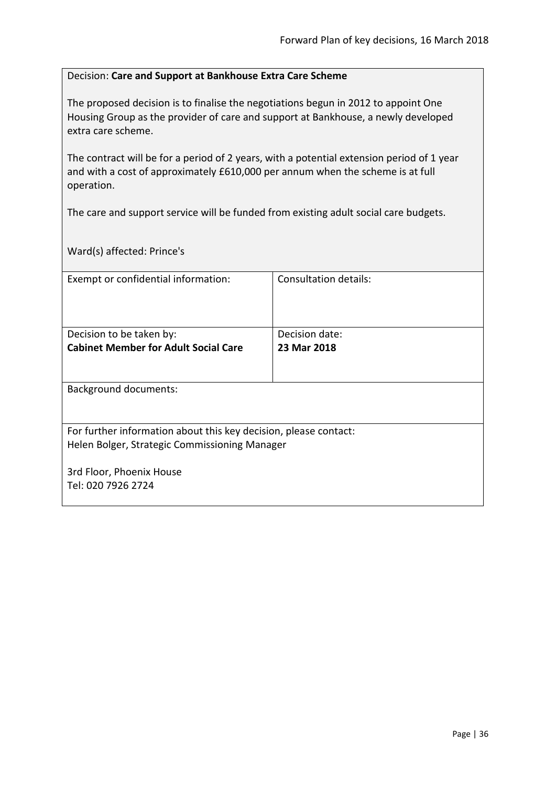#### <span id="page-35-0"></span>Decision: **Care and Support at Bankhouse Extra Care Scheme**

The proposed decision is to finalise the negotiations begun in 2012 to appoint One Housing Group as the provider of care and support at Bankhouse, a newly developed extra care scheme.

The contract will be for a period of 2 years, with a potential extension period of 1 year and with a cost of approximately £610,000 per annum when the scheme is at full operation.

The care and support service will be funded from existing adult social care budgets.

Ward(s) affected: Prince's

| Exempt or confidential information:                              | <b>Consultation details:</b> |
|------------------------------------------------------------------|------------------------------|
|                                                                  |                              |
|                                                                  |                              |
| Decision to be taken by:                                         | Decision date:               |
| <b>Cabinet Member for Adult Social Care</b>                      | 23 Mar 2018                  |
|                                                                  |                              |
|                                                                  |                              |
| <b>Background documents:</b>                                     |                              |
|                                                                  |                              |
|                                                                  |                              |
| For further information about this key decision, please contact: |                              |
| Helen Bolger, Strategic Commissioning Manager                    |                              |
|                                                                  |                              |
| 3rd Floor, Phoenix House                                         |                              |
| Tel: 020 7926 2724                                               |                              |
|                                                                  |                              |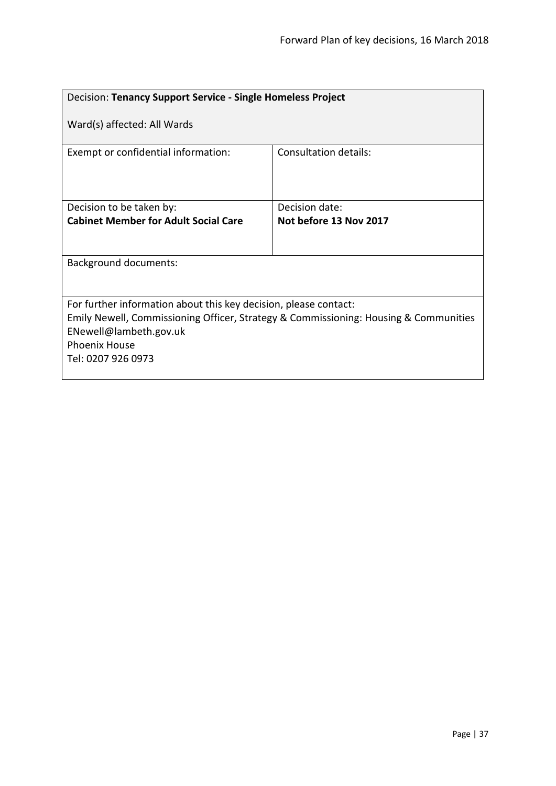| Decision: Tenancy Support Service - Single Homeless Project                                                                                                                                                                      |                        |
|----------------------------------------------------------------------------------------------------------------------------------------------------------------------------------------------------------------------------------|------------------------|
| Ward(s) affected: All Wards                                                                                                                                                                                                      |                        |
| Exempt or confidential information:                                                                                                                                                                                              | Consultation details:  |
| Decision to be taken by:                                                                                                                                                                                                         | Decision date:         |
| <b>Cabinet Member for Adult Social Care</b>                                                                                                                                                                                      | Not before 13 Nov 2017 |
| <b>Background documents:</b>                                                                                                                                                                                                     |                        |
| For further information about this key decision, please contact:<br>Emily Newell, Commissioning Officer, Strategy & Commissioning: Housing & Communities<br>ENewell@lambeth.gov.uk<br><b>Phoenix House</b><br>Tel: 0207 926 0973 |                        |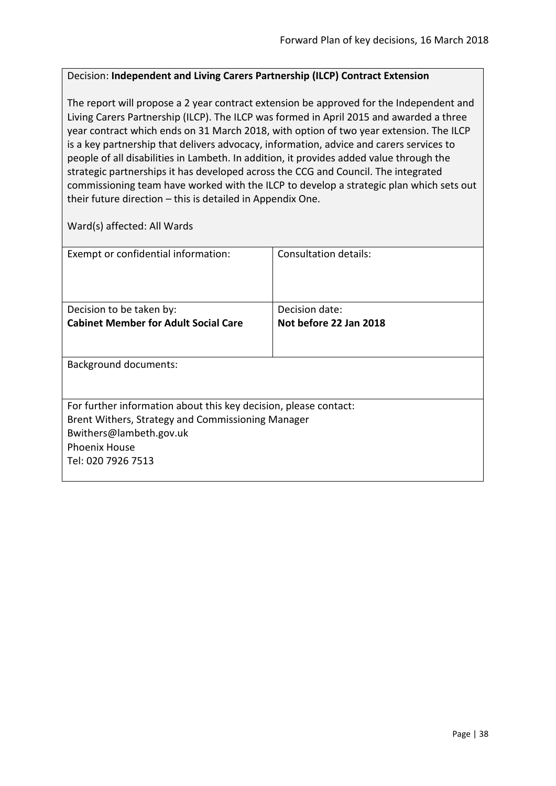#### Decision: **Independent and Living Carers Partnership (ILCP) Contract Extension**

The report will propose a 2 year contract extension be approved for the Independent and Living Carers Partnership (ILCP). The ILCP was formed in April 2015 and awarded a three year contract which ends on 31 March 2018, with option of two year extension. The ILCP is a key partnership that delivers advocacy, information, advice and carers services to people of all disabilities in Lambeth. In addition, it provides added value through the strategic partnerships it has developed across the CCG and Council. The integrated commissioning team have worked with the ILCP to develop a strategic plan which sets out their future direction – this is detailed in Appendix One.

| Exempt or confidential information:                              | Consultation details:  |  |
|------------------------------------------------------------------|------------------------|--|
|                                                                  |                        |  |
|                                                                  |                        |  |
| Decision to be taken by:                                         | Decision date:         |  |
| <b>Cabinet Member for Adult Social Care</b>                      | Not before 22 Jan 2018 |  |
|                                                                  |                        |  |
|                                                                  |                        |  |
| <b>Background documents:</b>                                     |                        |  |
|                                                                  |                        |  |
|                                                                  |                        |  |
| For further information about this key decision, please contact: |                        |  |
| Brent Withers, Strategy and Commissioning Manager                |                        |  |
| Bwithers@lambeth.gov.uk                                          |                        |  |
| <b>Phoenix House</b>                                             |                        |  |
| Tel: 020 7926 7513                                               |                        |  |
|                                                                  |                        |  |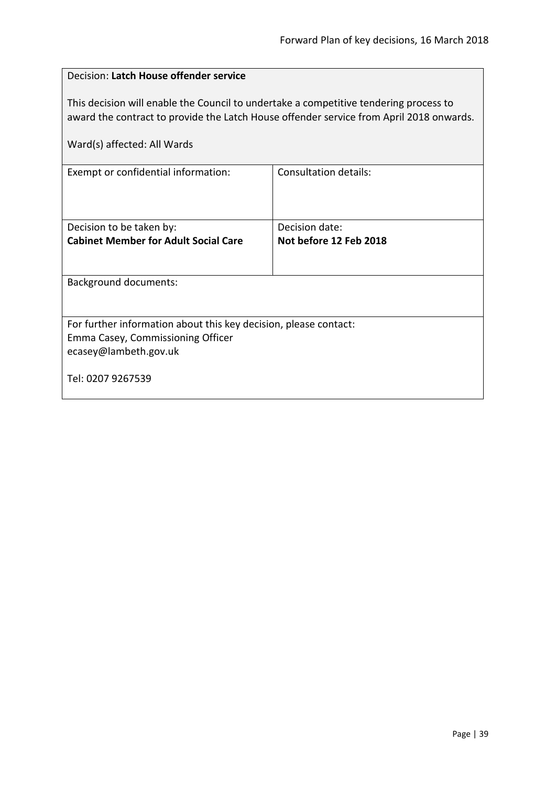| Decision: Latch House offender service                                                                                                                                                                          |                        |  |
|-----------------------------------------------------------------------------------------------------------------------------------------------------------------------------------------------------------------|------------------------|--|
| This decision will enable the Council to undertake a competitive tendering process to<br>award the contract to provide the Latch House offender service from April 2018 onwards.<br>Ward(s) affected: All Wards |                        |  |
| <b>Consultation details:</b><br>Exempt or confidential information:                                                                                                                                             |                        |  |
|                                                                                                                                                                                                                 |                        |  |
| Decision to be taken by:                                                                                                                                                                                        | Decision date:         |  |
| <b>Cabinet Member for Adult Social Care</b>                                                                                                                                                                     | Not before 12 Feb 2018 |  |
|                                                                                                                                                                                                                 |                        |  |
| <b>Background documents:</b>                                                                                                                                                                                    |                        |  |
|                                                                                                                                                                                                                 |                        |  |
| For further information about this key decision, please contact:                                                                                                                                                |                        |  |
| Emma Casey, Commissioning Officer                                                                                                                                                                               |                        |  |
| ecasey@lambeth.gov.uk                                                                                                                                                                                           |                        |  |
| Tel: 0207 9267539                                                                                                                                                                                               |                        |  |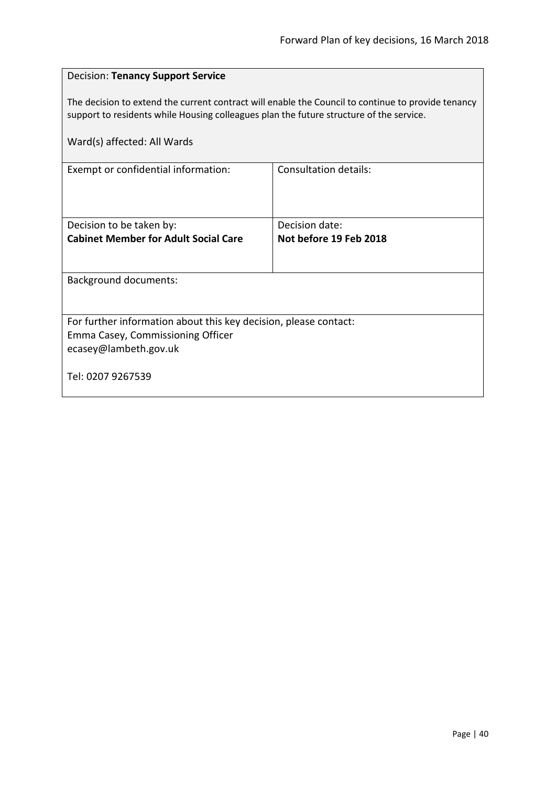| <b>Decision: Tenancy Support Service</b>                                                                                                                                                      |                        |  |
|-----------------------------------------------------------------------------------------------------------------------------------------------------------------------------------------------|------------------------|--|
| The decision to extend the current contract will enable the Council to continue to provide tenancy<br>support to residents while Housing colleagues plan the future structure of the service. |                        |  |
| Ward(s) affected: All Wards                                                                                                                                                                   |                        |  |
| Exempt or confidential information:                                                                                                                                                           | Consultation details:  |  |
|                                                                                                                                                                                               |                        |  |
| Decision to be taken by:                                                                                                                                                                      | Decision date:         |  |
| <b>Cabinet Member for Adult Social Care</b>                                                                                                                                                   | Not before 19 Feb 2018 |  |
| <b>Background documents:</b>                                                                                                                                                                  |                        |  |
|                                                                                                                                                                                               |                        |  |
| For further information about this key decision, please contact:                                                                                                                              |                        |  |
| Emma Casey, Commissioning Officer<br>ecasey@lambeth.gov.uk                                                                                                                                    |                        |  |
| Tel: 0207 9267539                                                                                                                                                                             |                        |  |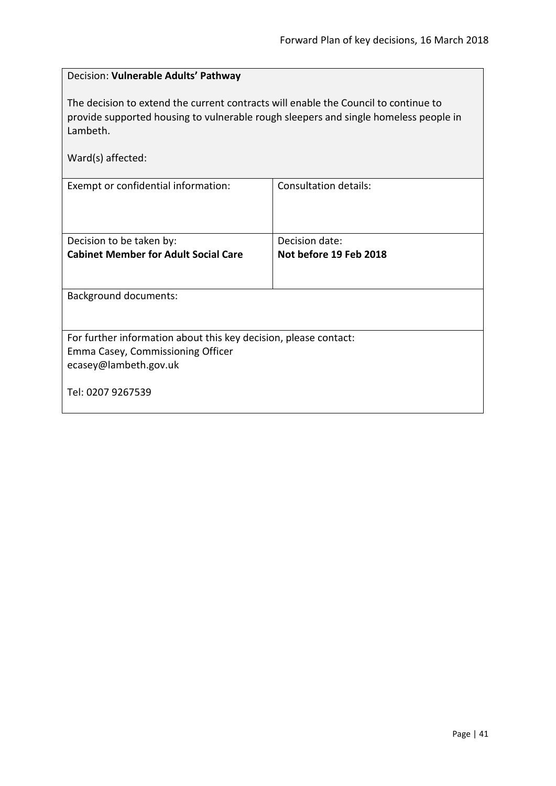| Decision: Vulnerable Adults' Pathway                                                                                                                                                                         |                              |  |
|--------------------------------------------------------------------------------------------------------------------------------------------------------------------------------------------------------------|------------------------------|--|
| The decision to extend the current contracts will enable the Council to continue to<br>provide supported housing to vulnerable rough sleepers and single homeless people in<br>Lambeth.<br>Ward(s) affected: |                              |  |
| Exempt or confidential information:                                                                                                                                                                          | <b>Consultation details:</b> |  |
|                                                                                                                                                                                                              |                              |  |
| Decision to be taken by:                                                                                                                                                                                     | Decision date:               |  |
| <b>Cabinet Member for Adult Social Care</b>                                                                                                                                                                  | Not before 19 Feb 2018       |  |
|                                                                                                                                                                                                              |                              |  |
| <b>Background documents:</b>                                                                                                                                                                                 |                              |  |
|                                                                                                                                                                                                              |                              |  |
| For further information about this key decision, please contact:                                                                                                                                             |                              |  |
| Emma Casey, Commissioning Officer                                                                                                                                                                            |                              |  |
| ecasey@lambeth.gov.uk                                                                                                                                                                                        |                              |  |
| Tel: 0207 9267539                                                                                                                                                                                            |                              |  |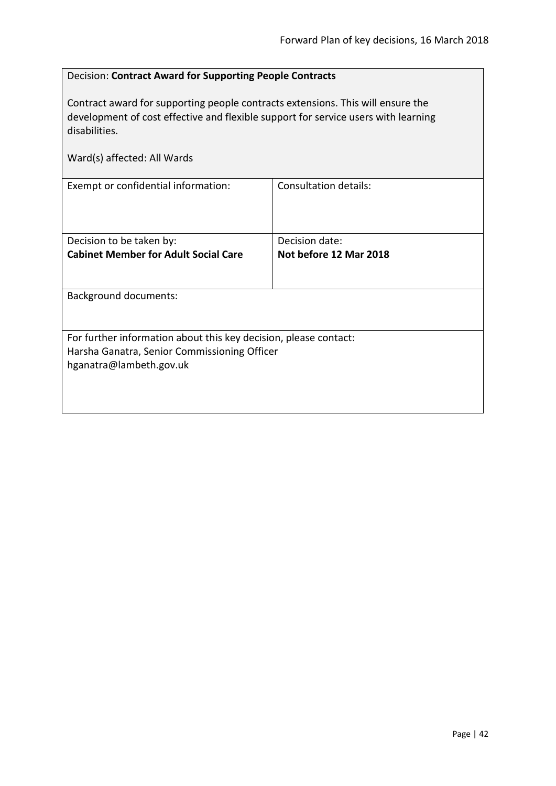| Decision: Contract Award for Supporting People Contracts                                                                                                                               |                                          |  |
|----------------------------------------------------------------------------------------------------------------------------------------------------------------------------------------|------------------------------------------|--|
| Contract award for supporting people contracts extensions. This will ensure the<br>development of cost effective and flexible support for service users with learning<br>disabilities. |                                          |  |
| Ward(s) affected: All Wards                                                                                                                                                            |                                          |  |
| Exempt or confidential information:                                                                                                                                                    | <b>Consultation details:</b>             |  |
| Decision to be taken by:<br><b>Cabinet Member for Adult Social Care</b>                                                                                                                | Decision date:<br>Not before 12 Mar 2018 |  |
|                                                                                                                                                                                        |                                          |  |
| <b>Background documents:</b>                                                                                                                                                           |                                          |  |
| For further information about this key decision, please contact:                                                                                                                       |                                          |  |
| Harsha Ganatra, Senior Commissioning Officer<br>hganatra@lambeth.gov.uk                                                                                                                |                                          |  |
|                                                                                                                                                                                        |                                          |  |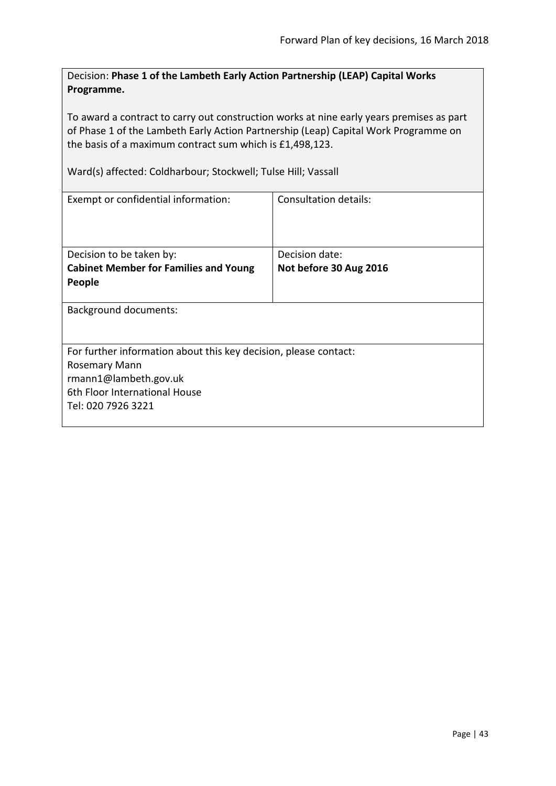Decision: **Phase 1 of the Lambeth Early Action Partnership (LEAP) Capital Works Programme.**

To award a contract to carry out construction works at nine early years premises as part of Phase 1 of the Lambeth Early Action Partnership (Leap) Capital Work Programme on the basis of a maximum contract sum which is £1,498,123.

Ward(s) affected: Coldharbour; Stockwell; Tulse Hill; Vassall

| Exempt or confidential information:                                                                                                                                      | Consultation details:                    |  |
|--------------------------------------------------------------------------------------------------------------------------------------------------------------------------|------------------------------------------|--|
| Decision to be taken by:<br><b>Cabinet Member for Families and Young</b><br>People                                                                                       | Decision date:<br>Not before 30 Aug 2016 |  |
| <b>Background documents:</b>                                                                                                                                             |                                          |  |
| For further information about this key decision, please contact:<br><b>Rosemary Mann</b><br>rmann1@lambeth.gov.uk<br>6th Floor International House<br>Tel: 020 7926 3221 |                                          |  |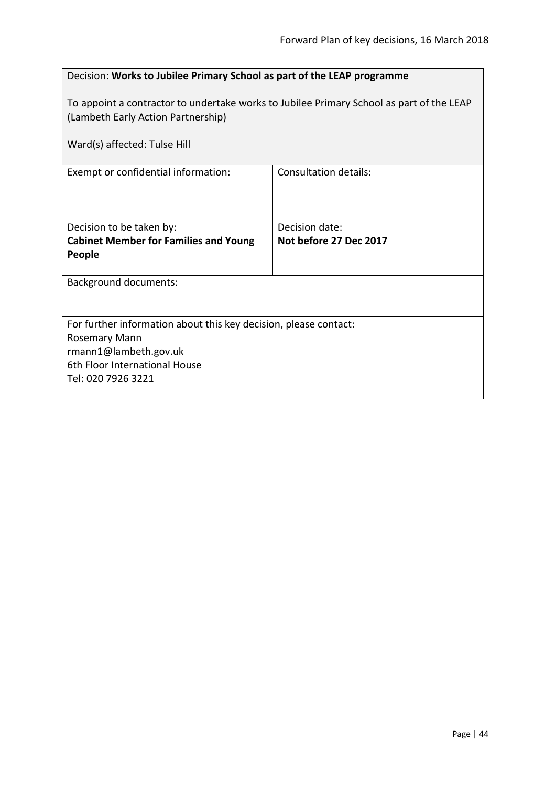| Decision: Works to Jubilee Primary School as part of the LEAP programme                                                                                           |                                          |  |
|-------------------------------------------------------------------------------------------------------------------------------------------------------------------|------------------------------------------|--|
| To appoint a contractor to undertake works to Jubilee Primary School as part of the LEAP<br>(Lambeth Early Action Partnership)                                    |                                          |  |
| Ward(s) affected: Tulse Hill                                                                                                                                      |                                          |  |
| Exempt or confidential information:                                                                                                                               | <b>Consultation details:</b>             |  |
| Decision to be taken by:<br><b>Cabinet Member for Families and Young</b><br>People                                                                                | Decision date:<br>Not before 27 Dec 2017 |  |
| <b>Background documents:</b>                                                                                                                                      |                                          |  |
| For further information about this key decision, please contact:<br>Rosemary Mann<br>rmann1@lambeth.gov.uk<br>6th Floor International House<br>Tel: 020 7926 3221 |                                          |  |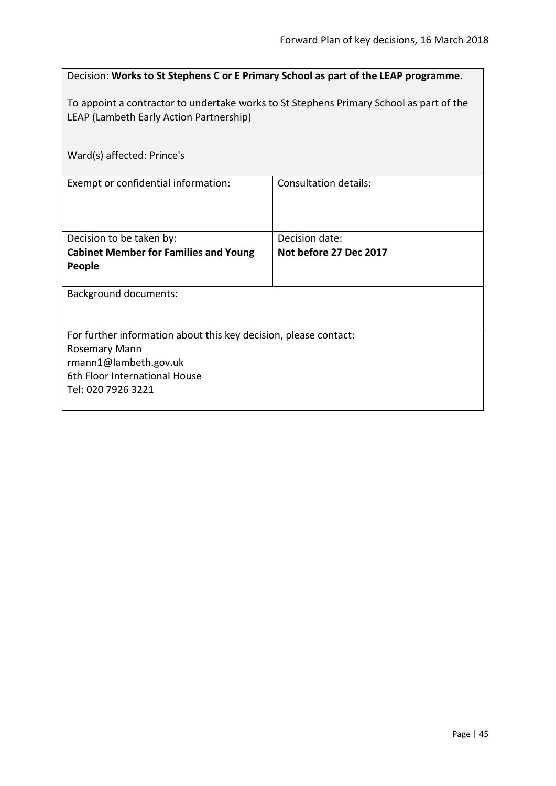| Decision: Works to St Stephens C or E Primary School as part of the LEAP programme.                                                                               |                                          |  |
|-------------------------------------------------------------------------------------------------------------------------------------------------------------------|------------------------------------------|--|
| To appoint a contractor to undertake works to St Stephens Primary School as part of the<br>LEAP (Lambeth Early Action Partnership)                                |                                          |  |
| Ward(s) affected: Prince's                                                                                                                                        |                                          |  |
| Exempt or confidential information:                                                                                                                               | <b>Consultation details:</b>             |  |
| Decision to be taken by:<br><b>Cabinet Member for Families and Young</b><br>People                                                                                | Decision date:<br>Not before 27 Dec 2017 |  |
| <b>Background documents:</b>                                                                                                                                      |                                          |  |
| For further information about this key decision, please contact:<br>Rosemary Mann<br>rmann1@lambeth.gov.uk<br>6th Floor International House<br>Tel: 020 7926 3221 |                                          |  |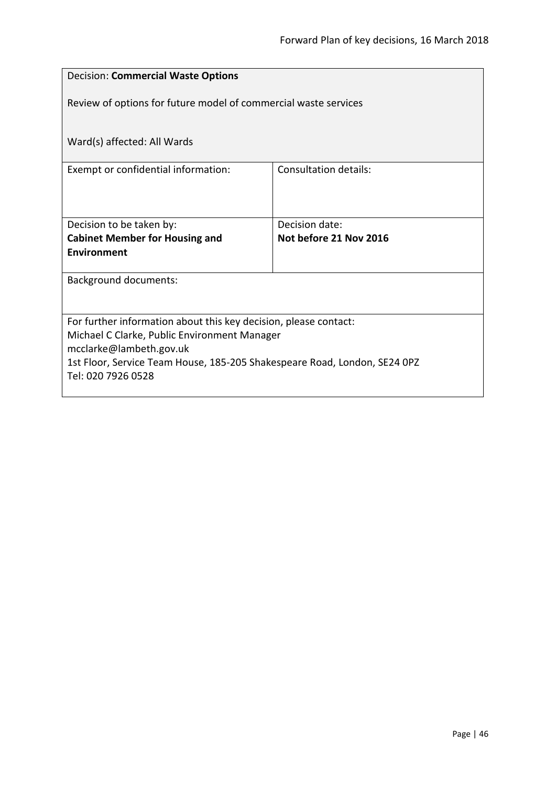| <b>Decision: Commercial Waste Options</b>                                 |                        |  |
|---------------------------------------------------------------------------|------------------------|--|
| Review of options for future model of commercial waste services           |                        |  |
|                                                                           |                        |  |
| Ward(s) affected: All Wards                                               |                        |  |
| Exempt or confidential information:                                       | Consultation details:  |  |
|                                                                           |                        |  |
| Decision to be taken by:                                                  | Decision date:         |  |
| <b>Cabinet Member for Housing and</b>                                     | Not before 21 Nov 2016 |  |
| <b>Environment</b>                                                        |                        |  |
| <b>Background documents:</b>                                              |                        |  |
|                                                                           |                        |  |
| For further information about this key decision, please contact:          |                        |  |
| Michael C Clarke, Public Environment Manager<br>mcclarke@lambeth.gov.uk   |                        |  |
| 1st Floor, Service Team House, 185-205 Shakespeare Road, London, SE24 0PZ |                        |  |
| Tel: 020 7926 0528                                                        |                        |  |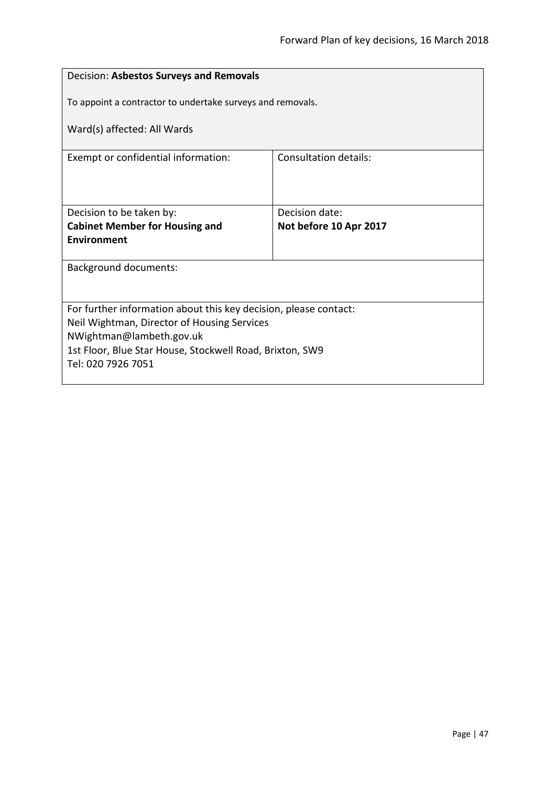| Decision: Asbestos Surveys and Removals                                        |                        |  |
|--------------------------------------------------------------------------------|------------------------|--|
| To appoint a contractor to undertake surveys and removals.                     |                        |  |
| Ward(s) affected: All Wards                                                    |                        |  |
| Exempt or confidential information:                                            | Consultation details:  |  |
|                                                                                |                        |  |
| Decision to be taken by:                                                       | Decision date:         |  |
| <b>Cabinet Member for Housing and</b><br><b>Environment</b>                    | Not before 10 Apr 2017 |  |
|                                                                                |                        |  |
| <b>Background documents:</b>                                                   |                        |  |
|                                                                                |                        |  |
| For further information about this key decision, please contact:               |                        |  |
| Neil Wightman, Director of Housing Services                                    |                        |  |
| NWightman@lambeth.gov.uk                                                       |                        |  |
| 1st Floor, Blue Star House, Stockwell Road, Brixton, SW9<br>Tel: 020 7926 7051 |                        |  |
|                                                                                |                        |  |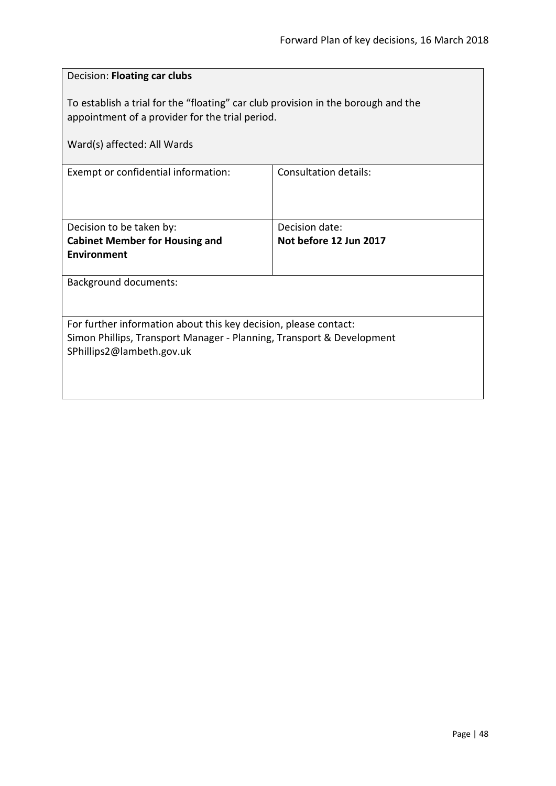| Decision: Floating car clubs                                                                                                                                           |                        |  |
|------------------------------------------------------------------------------------------------------------------------------------------------------------------------|------------------------|--|
| To establish a trial for the "floating" car club provision in the borough and the<br>appointment of a provider for the trial period.                                   |                        |  |
| Ward(s) affected: All Wards                                                                                                                                            |                        |  |
| Exempt or confidential information:                                                                                                                                    | Consultation details:  |  |
| Decision to be taken by:                                                                                                                                               | Decision date:         |  |
| <b>Cabinet Member for Housing and</b><br><b>Environment</b>                                                                                                            | Not before 12 Jun 2017 |  |
| <b>Background documents:</b>                                                                                                                                           |                        |  |
| For further information about this key decision, please contact:<br>Simon Phillips, Transport Manager - Planning, Transport & Development<br>SPhillips2@lambeth.gov.uk |                        |  |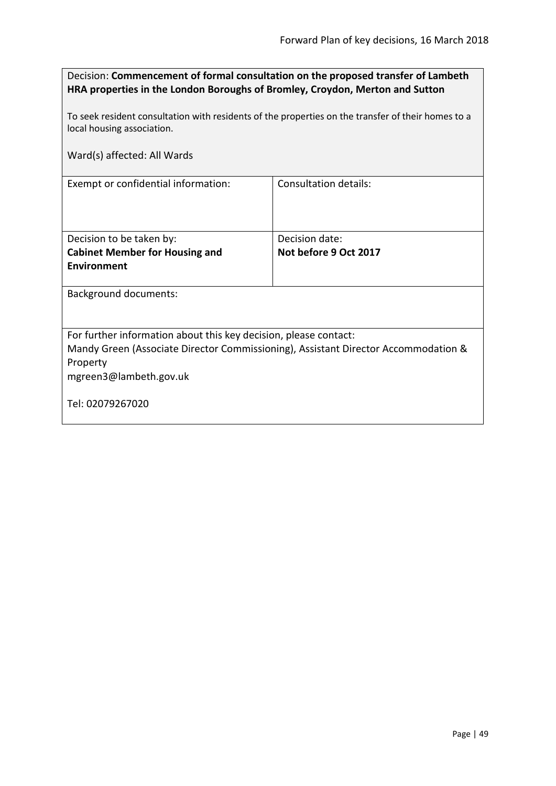| Decision: Commencement of formal consultation on the proposed transfer of Lambeth |
|-----------------------------------------------------------------------------------|
| HRA properties in the London Boroughs of Bromley, Croydon, Merton and Sutton      |

To seek resident consultation with residents of the properties on the transfer of their homes to a local housing association.

Ward(s) affected: All Wards

Exempt or confidential information: Consultation details:

| Decision to be taken by:              | Decision date:        |
|---------------------------------------|-----------------------|
| <b>Cabinet Member for Housing and</b> | Not before 9 Oct 2017 |
| Environment                           |                       |
|                                       |                       |

Background documents:

For further information about this key decision, please contact:

Mandy Green (Associate Director Commissioning), Assistant Director Accommodation & Property

mgreen3@lambeth.gov.uk

Tel: 02079267020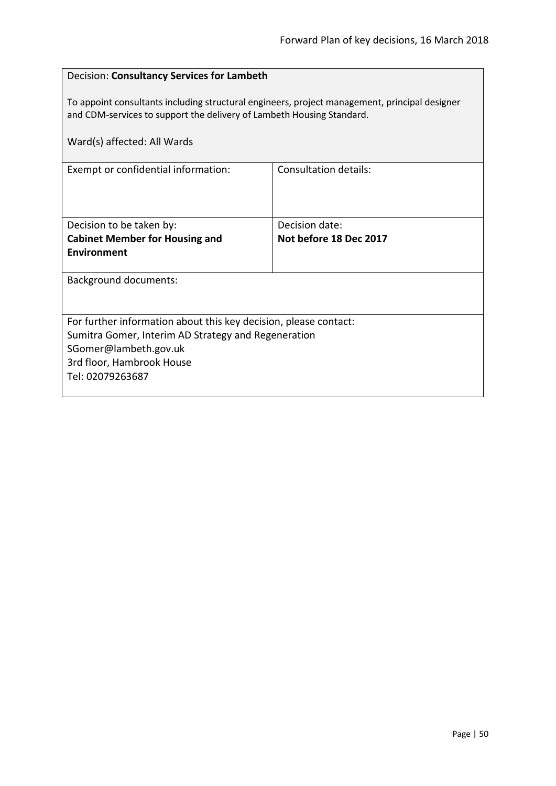| Decision: Consultancy Services for Lambeth                                                                                                                             |                              |  |
|------------------------------------------------------------------------------------------------------------------------------------------------------------------------|------------------------------|--|
| To appoint consultants including structural engineers, project management, principal designer<br>and CDM-services to support the delivery of Lambeth Housing Standard. |                              |  |
| Ward(s) affected: All Wards                                                                                                                                            |                              |  |
| Exempt or confidential information:                                                                                                                                    | <b>Consultation details:</b> |  |
|                                                                                                                                                                        |                              |  |
| Decision to be taken by:                                                                                                                                               | Decision date:               |  |
| <b>Cabinet Member for Housing and</b>                                                                                                                                  | Not before 18 Dec 2017       |  |
| Environment                                                                                                                                                            |                              |  |
| <b>Background documents:</b>                                                                                                                                           |                              |  |
|                                                                                                                                                                        |                              |  |
| For further information about this key decision, please contact:                                                                                                       |                              |  |
| Sumitra Gomer, Interim AD Strategy and Regeneration                                                                                                                    |                              |  |
| SGomer@lambeth.gov.uk                                                                                                                                                  |                              |  |
| 3rd floor, Hambrook House                                                                                                                                              |                              |  |
| Tel: 02079263687                                                                                                                                                       |                              |  |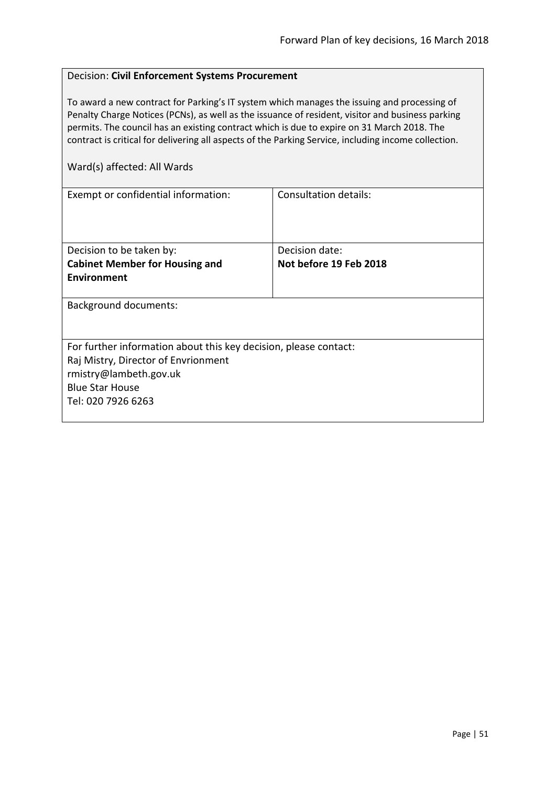### Decision: **Civil Enforcement Systems Procurement**

To award a new contract for Parking's IT system which manages the issuing and processing of Penalty Charge Notices (PCNs), as well as the issuance of resident, visitor and business parking permits. The council has an existing contract which is due to expire on 31 March 2018. The contract is critical for delivering all aspects of the Parking Service, including income collection.

| Exempt or confidential information:                              | Consultation details:  |  |
|------------------------------------------------------------------|------------------------|--|
|                                                                  |                        |  |
|                                                                  |                        |  |
|                                                                  |                        |  |
| Decision to be taken by:                                         | Decision date:         |  |
| <b>Cabinet Member for Housing and</b>                            | Not before 19 Feb 2018 |  |
| Environment                                                      |                        |  |
|                                                                  |                        |  |
| <b>Background documents:</b>                                     |                        |  |
|                                                                  |                        |  |
|                                                                  |                        |  |
| For further information about this key decision, please contact: |                        |  |
| Raj Mistry, Director of Envrionment                              |                        |  |
| rmistry@lambeth.gov.uk                                           |                        |  |
| <b>Blue Star House</b>                                           |                        |  |
| Tel: 020 7926 6263                                               |                        |  |
|                                                                  |                        |  |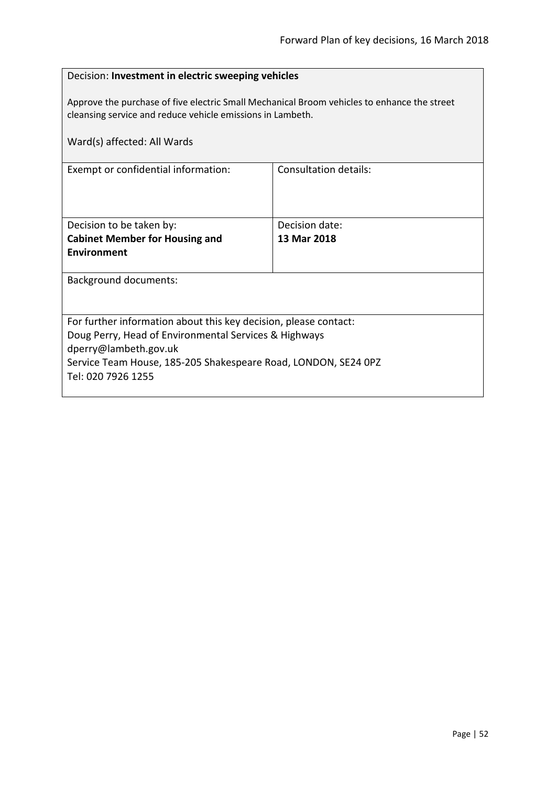# Decision: **Investment in electric sweeping vehicles** Approve the purchase of five electric Small Mechanical Broom vehicles to enhance the street cleansing service and reduce vehicle emissions in Lambeth. Ward(s) affected: All Wards Exempt or confidential information: Consultation details: Decision to be taken by: **Cabinet Member for Housing and Environment** Decision date: **13 Mar 2018** Background documents: For further information about this key decision, please contact: Doug Perry, Head of Environmental Services & Highways dperry@lambeth.gov.uk Service Team House, 185-205 Shakespeare Road, LONDON, SE24 0PZ Tel: 020 7926 1255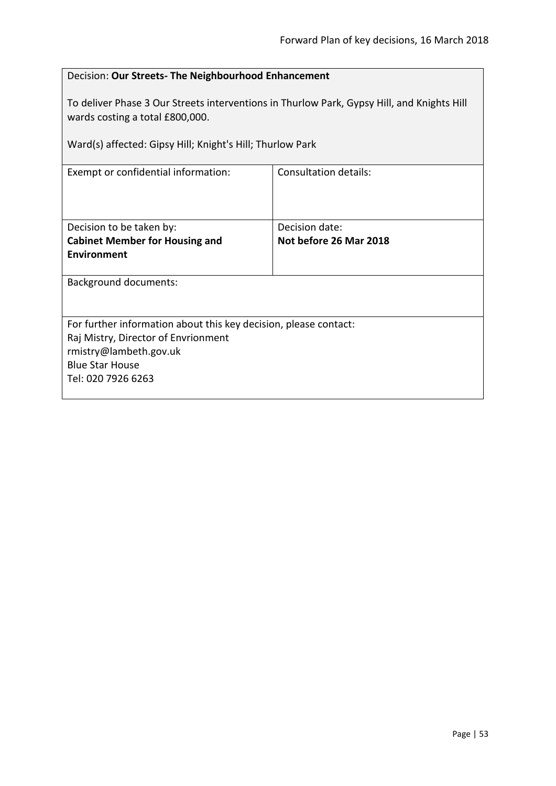| To deliver Phase 3 Our Streets interventions in Thurlow Park, Gypsy Hill, and Knights Hill<br>wards costing a total £800,000.<br>Ward(s) affected: Gipsy Hill; Knight's Hill; Thurlow Park<br><b>Consultation details:</b><br>Exempt or confidential information:<br>Decision date:<br>Decision to be taken by:<br>Not before 26 Mar 2018<br><b>Cabinet Member for Housing and</b><br><b>Environment</b><br><b>Background documents:</b><br>For further information about this key decision, please contact:<br>Raj Mistry, Director of Envrionment<br>rmistry@lambeth.gov.uk<br><b>Blue Star House</b><br>Tel: 020 7926 6263 | Decision: Our Streets- The Neighbourhood Enhancement |  |  |
|-------------------------------------------------------------------------------------------------------------------------------------------------------------------------------------------------------------------------------------------------------------------------------------------------------------------------------------------------------------------------------------------------------------------------------------------------------------------------------------------------------------------------------------------------------------------------------------------------------------------------------|------------------------------------------------------|--|--|
|                                                                                                                                                                                                                                                                                                                                                                                                                                                                                                                                                                                                                               |                                                      |  |  |
|                                                                                                                                                                                                                                                                                                                                                                                                                                                                                                                                                                                                                               |                                                      |  |  |
|                                                                                                                                                                                                                                                                                                                                                                                                                                                                                                                                                                                                                               |                                                      |  |  |
|                                                                                                                                                                                                                                                                                                                                                                                                                                                                                                                                                                                                                               |                                                      |  |  |
|                                                                                                                                                                                                                                                                                                                                                                                                                                                                                                                                                                                                                               |                                                      |  |  |
|                                                                                                                                                                                                                                                                                                                                                                                                                                                                                                                                                                                                                               |                                                      |  |  |
|                                                                                                                                                                                                                                                                                                                                                                                                                                                                                                                                                                                                                               |                                                      |  |  |
|                                                                                                                                                                                                                                                                                                                                                                                                                                                                                                                                                                                                                               |                                                      |  |  |
|                                                                                                                                                                                                                                                                                                                                                                                                                                                                                                                                                                                                                               |                                                      |  |  |
|                                                                                                                                                                                                                                                                                                                                                                                                                                                                                                                                                                                                                               |                                                      |  |  |
|                                                                                                                                                                                                                                                                                                                                                                                                                                                                                                                                                                                                                               |                                                      |  |  |
|                                                                                                                                                                                                                                                                                                                                                                                                                                                                                                                                                                                                                               |                                                      |  |  |
|                                                                                                                                                                                                                                                                                                                                                                                                                                                                                                                                                                                                                               |                                                      |  |  |
|                                                                                                                                                                                                                                                                                                                                                                                                                                                                                                                                                                                                                               |                                                      |  |  |
|                                                                                                                                                                                                                                                                                                                                                                                                                                                                                                                                                                                                                               |                                                      |  |  |
|                                                                                                                                                                                                                                                                                                                                                                                                                                                                                                                                                                                                                               |                                                      |  |  |
|                                                                                                                                                                                                                                                                                                                                                                                                                                                                                                                                                                                                                               |                                                      |  |  |
|                                                                                                                                                                                                                                                                                                                                                                                                                                                                                                                                                                                                                               |                                                      |  |  |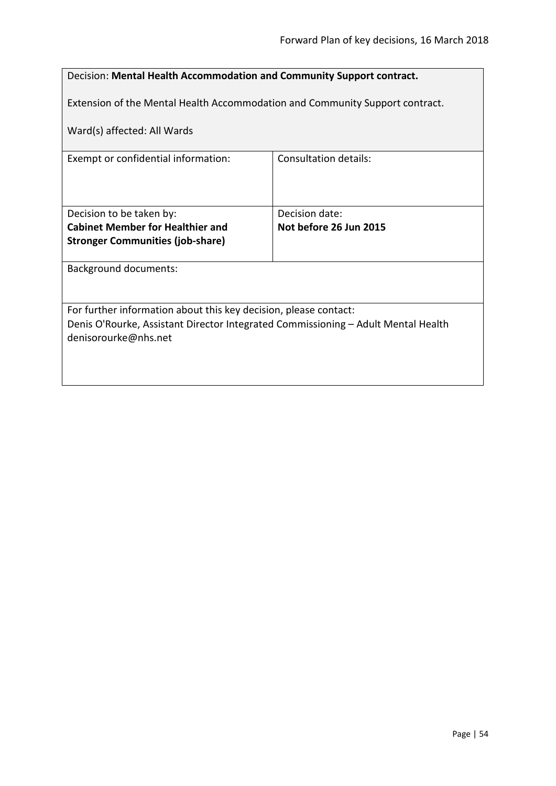| Decision: Mental Health Accommodation and Community Support contract.                                     |                              |  |
|-----------------------------------------------------------------------------------------------------------|------------------------------|--|
| Extension of the Mental Health Accommodation and Community Support contract.                              |                              |  |
| Ward(s) affected: All Wards                                                                               |                              |  |
| Exempt or confidential information:                                                                       | <b>Consultation details:</b> |  |
|                                                                                                           |                              |  |
| Decision to be taken by:                                                                                  | Decision date:               |  |
| <b>Cabinet Member for Healthier and</b>                                                                   | Not before 26 Jun 2015       |  |
| <b>Stronger Communities (job-share)</b>                                                                   |                              |  |
| <b>Background documents:</b>                                                                              |                              |  |
|                                                                                                           |                              |  |
| For further information about this key decision, please contact:                                          |                              |  |
| Denis O'Rourke, Assistant Director Integrated Commissioning - Adult Mental Health<br>denisorourke@nhs.net |                              |  |
|                                                                                                           |                              |  |
|                                                                                                           |                              |  |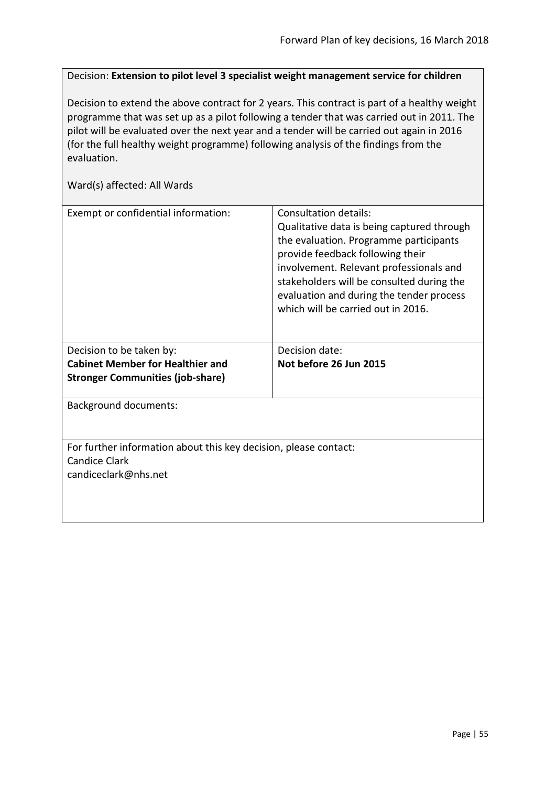Decision: **Extension to pilot level 3 specialist weight management service for children**

Decision to extend the above contract for 2 years. This contract is part of a healthy weight programme that was set up as a pilot following a tender that was carried out in 2011. The pilot will be evaluated over the next year and a tender will be carried out again in 2016 (for the full healthy weight programme) following analysis of the findings from the evaluation.

| Exempt or confidential information:                                                                              | Consultation details:<br>Qualitative data is being captured through<br>the evaluation. Programme participants<br>provide feedback following their<br>involvement. Relevant professionals and<br>stakeholders will be consulted during the<br>evaluation and during the tender process<br>which will be carried out in 2016. |  |
|------------------------------------------------------------------------------------------------------------------|-----------------------------------------------------------------------------------------------------------------------------------------------------------------------------------------------------------------------------------------------------------------------------------------------------------------------------|--|
| Decision to be taken by:<br><b>Cabinet Member for Healthier and</b><br><b>Stronger Communities (job-share)</b>   | Decision date:<br>Not before 26 Jun 2015                                                                                                                                                                                                                                                                                    |  |
| <b>Background documents:</b>                                                                                     |                                                                                                                                                                                                                                                                                                                             |  |
| For further information about this key decision, please contact:<br><b>Candice Clark</b><br>candiceclark@nhs.net |                                                                                                                                                                                                                                                                                                                             |  |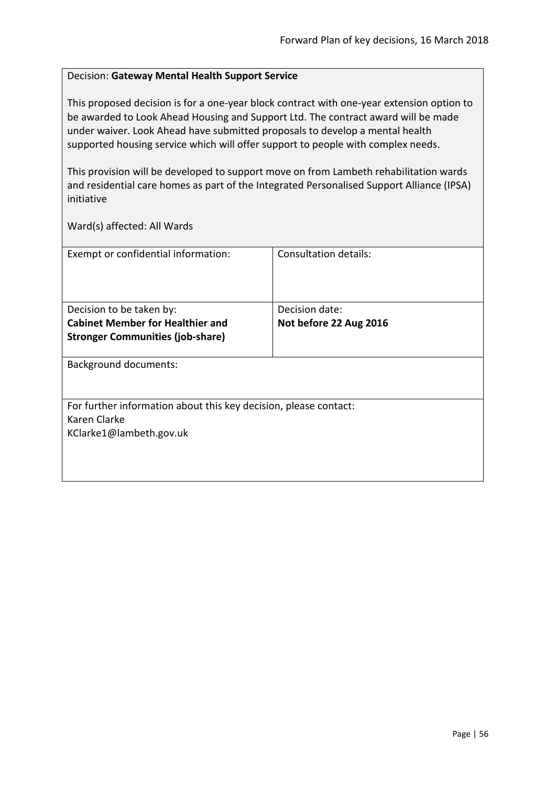### Decision: **Gateway Mental Health Support Service**

This proposed decision is for a one-year block contract with one-year extension option to be awarded to Look Ahead Housing and Support Ltd. The contract award will be made under waiver. Look Ahead have submitted proposals to develop a mental health supported housing service which will offer support to people with complex needs.

This provision will be developed to support move on from Lambeth rehabilitation wards and residential care homes as part of the Integrated Personalised Support Alliance (IPSA) initiative

| Exempt or confidential information:                              | Consultation details:  |  |
|------------------------------------------------------------------|------------------------|--|
|                                                                  |                        |  |
|                                                                  |                        |  |
|                                                                  |                        |  |
| Decision to be taken by:                                         | Decision date:         |  |
| <b>Cabinet Member for Healthier and</b>                          | Not before 22 Aug 2016 |  |
| <b>Stronger Communities (job-share)</b>                          |                        |  |
|                                                                  |                        |  |
| <b>Background documents:</b>                                     |                        |  |
|                                                                  |                        |  |
|                                                                  |                        |  |
| For further information about this key decision, please contact: |                        |  |
| Karen Clarke                                                     |                        |  |
| KClarke1@lambeth.gov.uk                                          |                        |  |
|                                                                  |                        |  |
|                                                                  |                        |  |
|                                                                  |                        |  |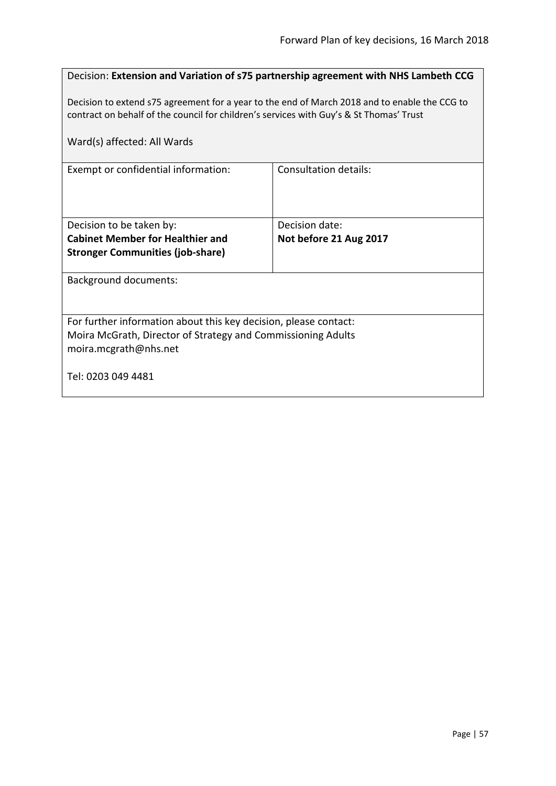|                                                                                                                                                                                          | Decision: Extension and Variation of s75 partnership agreement with NHS Lambeth CCG |  |
|------------------------------------------------------------------------------------------------------------------------------------------------------------------------------------------|-------------------------------------------------------------------------------------|--|
| Decision to extend s75 agreement for a year to the end of March 2018 and to enable the CCG to<br>contract on behalf of the council for children's services with Guy's & St Thomas' Trust |                                                                                     |  |
| Ward(s) affected: All Wards                                                                                                                                                              |                                                                                     |  |
| Exempt or confidential information:                                                                                                                                                      | Consultation details:                                                               |  |
|                                                                                                                                                                                          |                                                                                     |  |
| Decision to be taken by:                                                                                                                                                                 | Decision date:                                                                      |  |
| <b>Cabinet Member for Healthier and</b>                                                                                                                                                  | Not before 21 Aug 2017                                                              |  |
| <b>Stronger Communities (job-share)</b>                                                                                                                                                  |                                                                                     |  |
| <b>Background documents:</b>                                                                                                                                                             |                                                                                     |  |
|                                                                                                                                                                                          |                                                                                     |  |
| For further information about this key decision, please contact:                                                                                                                         |                                                                                     |  |
| Moira McGrath, Director of Strategy and Commissioning Adults                                                                                                                             |                                                                                     |  |
| moira.mcgrath@nhs.net                                                                                                                                                                    |                                                                                     |  |
| Tel: 0203 049 4481                                                                                                                                                                       |                                                                                     |  |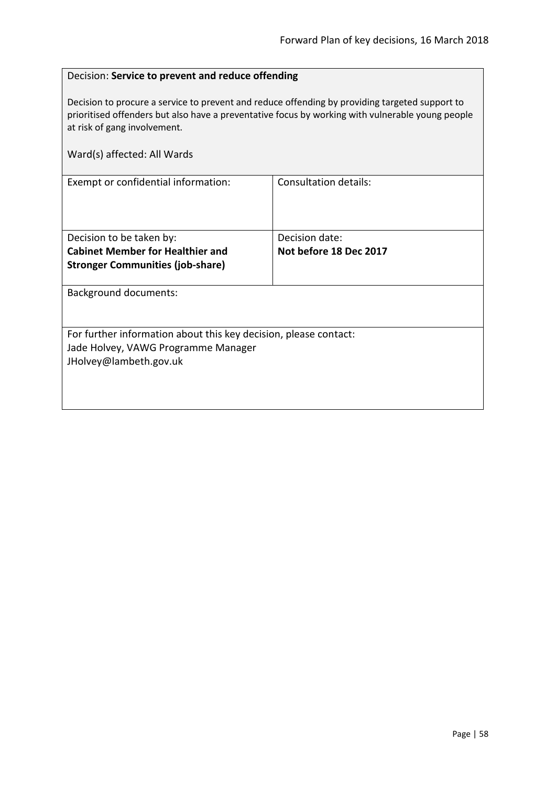## Decision: **Service to prevent and reduce offending**

Decision to procure a service to prevent and reduce offending by providing targeted support to prioritised offenders but also have a preventative focus by working with vulnerable young people at risk of gang involvement.

| Ward(s) affected: All Wards                                      |                        |
|------------------------------------------------------------------|------------------------|
| Exempt or confidential information:                              | Consultation details:  |
| Decision to be taken by:                                         | Decision date:         |
| <b>Cabinet Member for Healthier and</b>                          | Not before 18 Dec 2017 |
| <b>Stronger Communities (job-share)</b>                          |                        |
| <b>Background documents:</b>                                     |                        |
| For further information about this key decision, please contact: |                        |
| Jade Holvey, VAWG Programme Manager                              |                        |
| JHolvey@lambeth.gov.uk                                           |                        |
|                                                                  |                        |
|                                                                  |                        |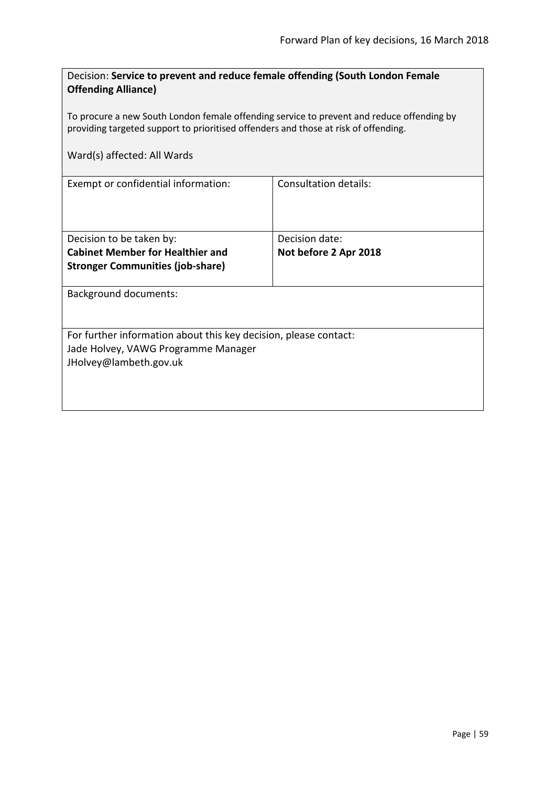| Decision: Service to prevent and reduce female offending (South London Female<br><b>Offending Alliance)</b>                                                                      |                              |  |
|----------------------------------------------------------------------------------------------------------------------------------------------------------------------------------|------------------------------|--|
| To procure a new South London female offending service to prevent and reduce offending by<br>providing targeted support to prioritised offenders and those at risk of offending. |                              |  |
| Ward(s) affected: All Wards                                                                                                                                                      |                              |  |
| Exempt or confidential information:                                                                                                                                              | <b>Consultation details:</b> |  |
| Decision to be taken by:                                                                                                                                                         | Decision date:               |  |
| <b>Cabinet Member for Healthier and</b>                                                                                                                                          | Not before 2 Apr 2018        |  |
| <b>Stronger Communities (job-share)</b>                                                                                                                                          |                              |  |
| <b>Background documents:</b>                                                                                                                                                     |                              |  |
| For further information about this key decision, please contact:                                                                                                                 |                              |  |
| Jade Holvey, VAWG Programme Manager                                                                                                                                              |                              |  |
| JHolvey@lambeth.gov.uk                                                                                                                                                           |                              |  |
|                                                                                                                                                                                  |                              |  |
|                                                                                                                                                                                  |                              |  |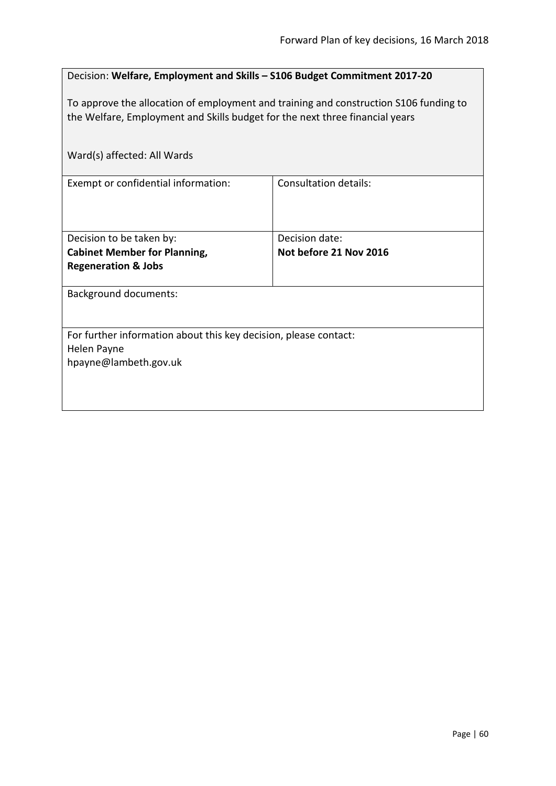| Decision: Welfare, Employment and Skills - S106 Budget Commitment 2017-20                                                                                             |                              |  |
|-----------------------------------------------------------------------------------------------------------------------------------------------------------------------|------------------------------|--|
| To approve the allocation of employment and training and construction S106 funding to<br>the Welfare, Employment and Skills budget for the next three financial years |                              |  |
| Ward(s) affected: All Wards                                                                                                                                           |                              |  |
| Exempt or confidential information:                                                                                                                                   | <b>Consultation details:</b> |  |
| Decision to be taken by:                                                                                                                                              | Decision date:               |  |
| <b>Cabinet Member for Planning,</b><br><b>Regeneration &amp; Jobs</b>                                                                                                 | Not before 21 Nov 2016       |  |
| <b>Background documents:</b>                                                                                                                                          |                              |  |
| For further information about this key decision, please contact:                                                                                                      |                              |  |
| Helen Payne                                                                                                                                                           |                              |  |
| hpayne@lambeth.gov.uk                                                                                                                                                 |                              |  |
|                                                                                                                                                                       |                              |  |
|                                                                                                                                                                       |                              |  |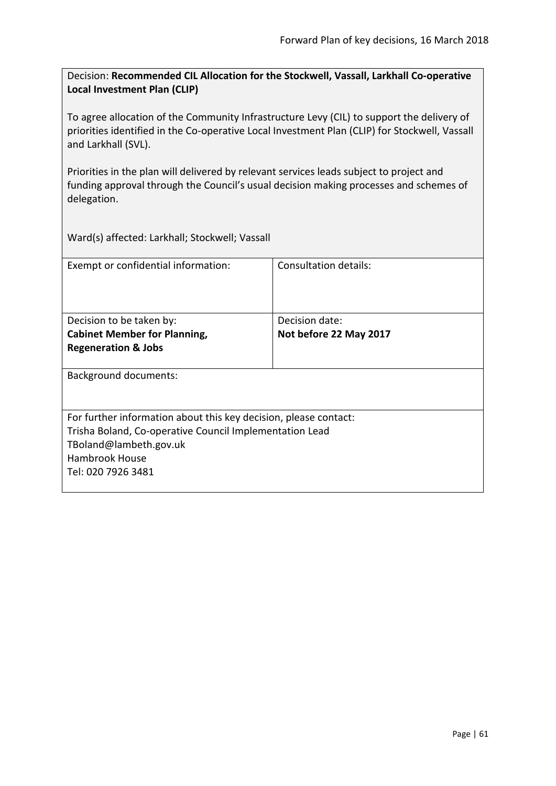Decision: **Recommended CIL Allocation for the Stockwell, Vassall, Larkhall Co-operative Local Investment Plan (CLIP)**

To agree allocation of the Community Infrastructure Levy (CIL) to support the delivery of priorities identified in the Co-operative Local Investment Plan (CLIP) for Stockwell, Vassall and Larkhall (SVL).

Priorities in the plan will delivered by relevant services leads subject to project and funding approval through the Council's usual decision making processes and schemes of delegation.

Ward(s) affected: Larkhall; Stockwell; Vassall

| Exempt or confidential information:                              | Consultation details:  |
|------------------------------------------------------------------|------------------------|
| Decision to be taken by:                                         | Decision date:         |
| <b>Cabinet Member for Planning,</b>                              | Not before 22 May 2017 |
| <b>Regeneration &amp; Jobs</b>                                   |                        |
| <b>Background documents:</b>                                     |                        |
| For further information about this key decision, please contact: |                        |
| Trisha Boland, Co-operative Council Implementation Lead          |                        |
| TBoland@lambeth.gov.uk                                           |                        |
| Hambrook House                                                   |                        |
| Tel: 020 7926 3481                                               |                        |
|                                                                  |                        |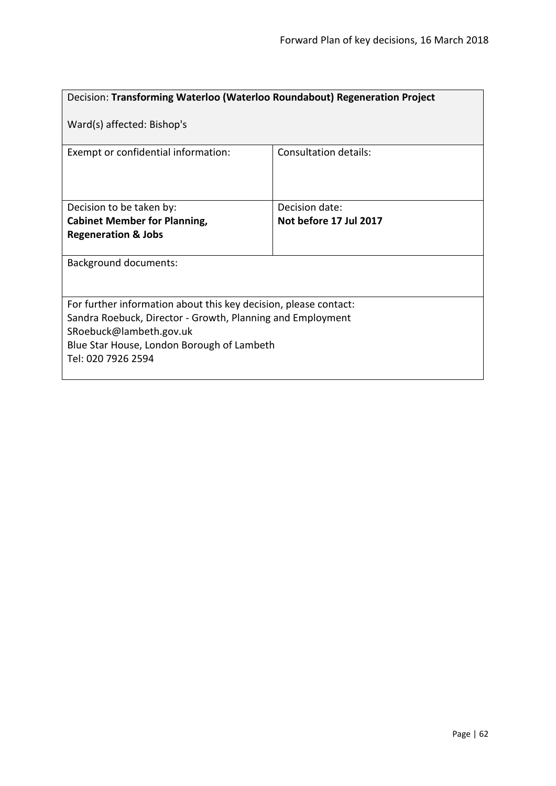| Decision: Transforming Waterloo (Waterloo Roundabout) Regeneration Project                                                                                                                                                    |                              |
|-------------------------------------------------------------------------------------------------------------------------------------------------------------------------------------------------------------------------------|------------------------------|
| Ward(s) affected: Bishop's                                                                                                                                                                                                    |                              |
| Exempt or confidential information:                                                                                                                                                                                           | <b>Consultation details:</b> |
| Decision to be taken by:                                                                                                                                                                                                      | Decision date:               |
| <b>Cabinet Member for Planning,</b>                                                                                                                                                                                           | Not before 17 Jul 2017       |
| <b>Regeneration &amp; Jobs</b>                                                                                                                                                                                                |                              |
| <b>Background documents:</b>                                                                                                                                                                                                  |                              |
| For further information about this key decision, please contact:<br>Sandra Roebuck, Director - Growth, Planning and Employment<br>SRoebuck@lambeth.gov.uk<br>Blue Star House, London Borough of Lambeth<br>Tel: 020 7926 2594 |                              |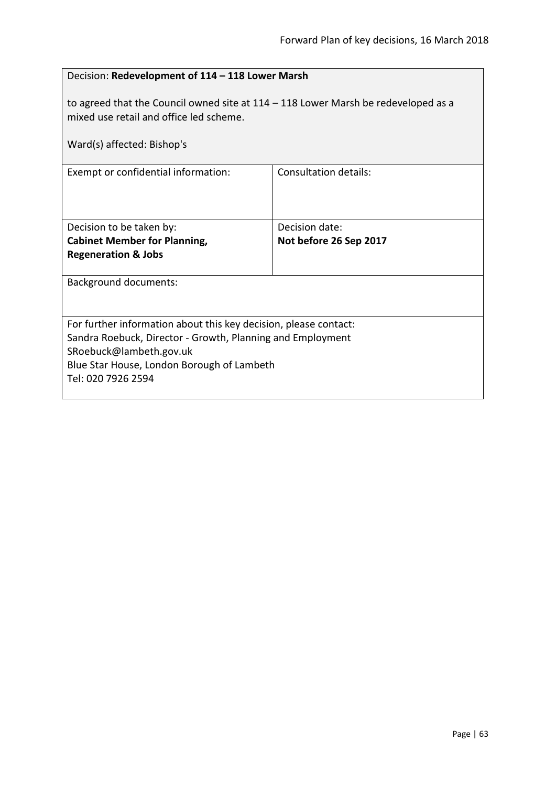| Decision: Redevelopment of 114 - 118 Lower Marsh                                                                                                                                                                              |                                          |
|-------------------------------------------------------------------------------------------------------------------------------------------------------------------------------------------------------------------------------|------------------------------------------|
| to agreed that the Council owned site at $114 - 118$ Lower Marsh be redeveloped as a<br>mixed use retail and office led scheme.                                                                                               |                                          |
| Ward(s) affected: Bishop's                                                                                                                                                                                                    |                                          |
| Exempt or confidential information:                                                                                                                                                                                           | Consultation details:                    |
| Decision to be taken by:<br><b>Cabinet Member for Planning,</b><br><b>Regeneration &amp; Jobs</b>                                                                                                                             | Decision date:<br>Not before 26 Sep 2017 |
| <b>Background documents:</b>                                                                                                                                                                                                  |                                          |
| For further information about this key decision, please contact:<br>Sandra Roebuck, Director - Growth, Planning and Employment<br>SRoebuck@lambeth.gov.uk<br>Blue Star House, London Borough of Lambeth<br>Tel: 020 7926 2594 |                                          |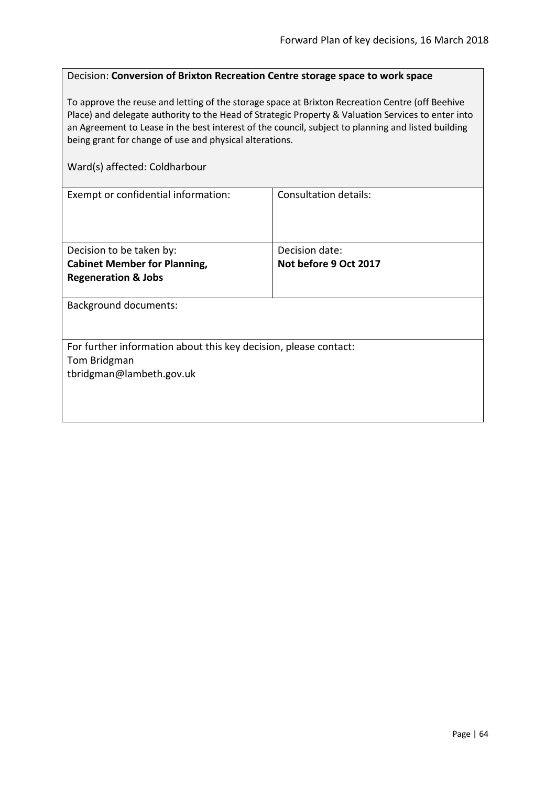### Decision: **Conversion of Brixton Recreation Centre storage space to work space**

To approve the reuse and letting of the storage space at Brixton Recreation Centre (off Beehive Place) and delegate authority to the Head of Strategic Property & Valuation Services to enter into an Agreement to Lease in the best interest of the council, subject to planning and listed building being grant for change of use and physical alterations.

#### Ward(s) affected: Coldharbour

| <b>Consultation details:</b>                                     |  |
|------------------------------------------------------------------|--|
|                                                                  |  |
|                                                                  |  |
|                                                                  |  |
| Decision date:                                                   |  |
| Not before 9 Oct 2017                                            |  |
|                                                                  |  |
|                                                                  |  |
| <b>Background documents:</b>                                     |  |
|                                                                  |  |
|                                                                  |  |
| For further information about this key decision, please contact: |  |
|                                                                  |  |
|                                                                  |  |
|                                                                  |  |
|                                                                  |  |
|                                                                  |  |
|                                                                  |  |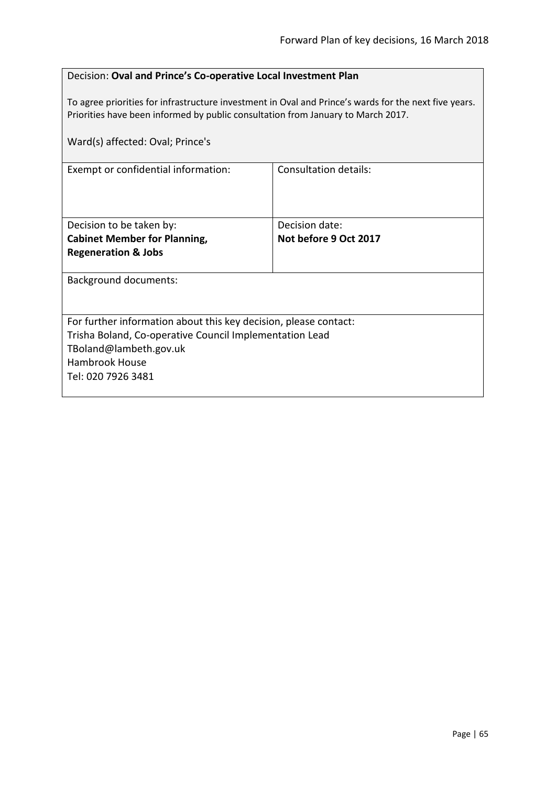To agree priorities for infrastructure investment in Oval and Prince's wards for the next five years. Priorities have been informed by public consultation from January to March 2017.

| Ward(s) affected: Oval; Prince's                                 |                              |
|------------------------------------------------------------------|------------------------------|
| Exempt or confidential information:                              | <b>Consultation details:</b> |
| Decision to be taken by:                                         | Decision date:               |
| <b>Cabinet Member for Planning,</b>                              | Not before 9 Oct 2017        |
| <b>Regeneration &amp; Jobs</b>                                   |                              |
| <b>Background documents:</b>                                     |                              |
| For further information about this key decision, please contact: |                              |
| Trisha Boland, Co-operative Council Implementation Lead          |                              |
| TBoland@lambeth.gov.uk                                           |                              |
| <b>Hambrook House</b>                                            |                              |
| Tel: 020 7926 3481                                               |                              |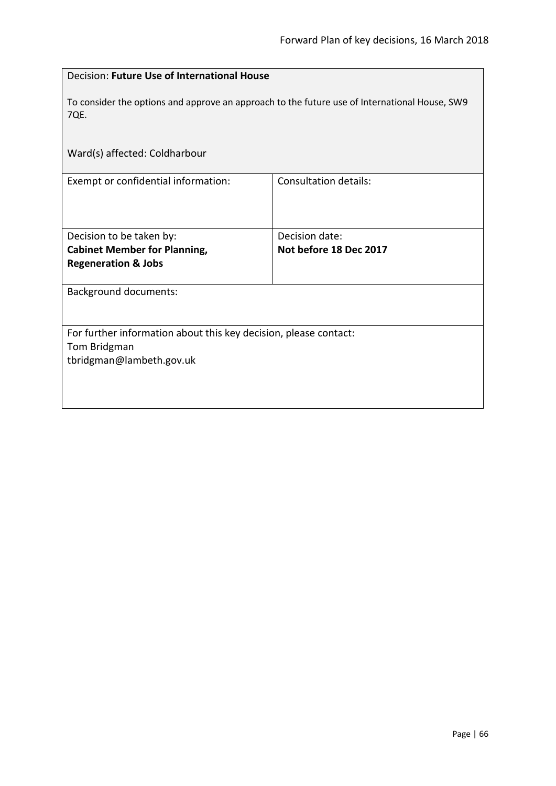| Decision: Future Use of International House                                                           |                              |
|-------------------------------------------------------------------------------------------------------|------------------------------|
| To consider the options and approve an approach to the future use of International House, SW9<br>7QE. |                              |
| Ward(s) affected: Coldharbour                                                                         |                              |
| Exempt or confidential information:                                                                   | <b>Consultation details:</b> |
| Decision to be taken by:                                                                              | Decision date:               |
| <b>Cabinet Member for Planning,</b>                                                                   | Not before 18 Dec 2017       |
| <b>Regeneration &amp; Jobs</b>                                                                        |                              |
| <b>Background documents:</b>                                                                          |                              |
| For further information about this key decision, please contact:                                      |                              |
| Tom Bridgman                                                                                          |                              |
| tbridgman@lambeth.gov.uk                                                                              |                              |
|                                                                                                       |                              |
|                                                                                                       |                              |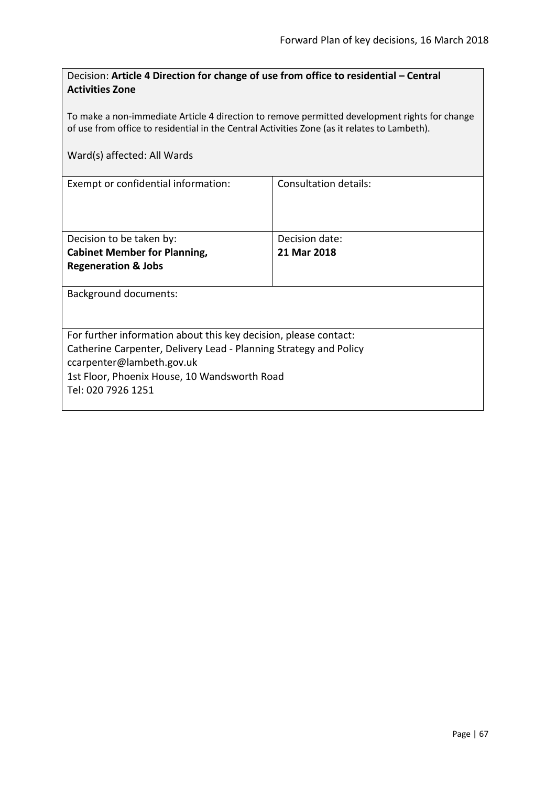| Decision: Article 4 Direction for change of use from office to residential - Central |  |
|--------------------------------------------------------------------------------------|--|
| <b>Activities Zone</b>                                                               |  |

To make a non-immediate Article 4 direction to remove permitted development rights for change of use from office to residential in the Central Activities Zone (as it relates to Lambeth).

| Exempt or confidential information:                               | Consultation details: |
|-------------------------------------------------------------------|-----------------------|
|                                                                   |                       |
|                                                                   |                       |
|                                                                   |                       |
| Decision to be taken by:                                          | Decision date:        |
| <b>Cabinet Member for Planning,</b>                               | 21 Mar 2018           |
| <b>Regeneration &amp; Jobs</b>                                    |                       |
|                                                                   |                       |
| <b>Background documents:</b>                                      |                       |
|                                                                   |                       |
|                                                                   |                       |
| For further information about this key decision, please contact:  |                       |
| Catherine Carpenter, Delivery Lead - Planning Strategy and Policy |                       |
| ccarpenter@lambeth.gov.uk                                         |                       |
| 1st Floor, Phoenix House, 10 Wandsworth Road                      |                       |
| Tel: 020 7926 1251                                                |                       |
|                                                                   |                       |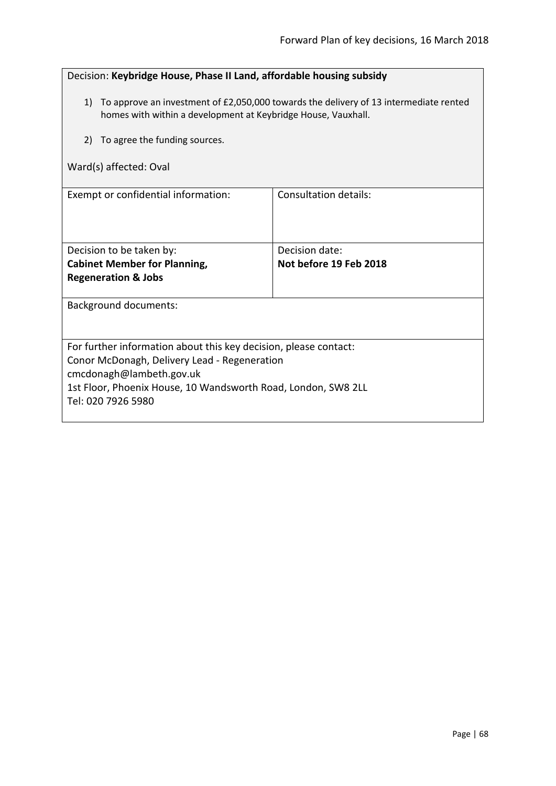| Decision: Keybridge House, Phase II Land, affordable housing subsidy                                                                                      |                              |
|-----------------------------------------------------------------------------------------------------------------------------------------------------------|------------------------------|
| 1) To approve an investment of £2,050,000 towards the delivery of 13 intermediate rented<br>homes with within a development at Keybridge House, Vauxhall. |                              |
| To agree the funding sources.<br>2)                                                                                                                       |                              |
| Ward(s) affected: Oval                                                                                                                                    |                              |
| Exempt or confidential information:                                                                                                                       | <b>Consultation details:</b> |
|                                                                                                                                                           |                              |
| Decision to be taken by:                                                                                                                                  | Decision date:               |
| <b>Cabinet Member for Planning,</b>                                                                                                                       | Not before 19 Feb 2018       |
| <b>Regeneration &amp; Jobs</b>                                                                                                                            |                              |
| <b>Background documents:</b>                                                                                                                              |                              |
|                                                                                                                                                           |                              |
| For further information about this key decision, please contact:                                                                                          |                              |
| Conor McDonagh, Delivery Lead - Regeneration                                                                                                              |                              |
| cmcdonagh@lambeth.gov.uk                                                                                                                                  |                              |
| 1st Floor, Phoenix House, 10 Wandsworth Road, London, SW8 2LL<br>Tel: 020 7926 5980                                                                       |                              |
|                                                                                                                                                           |                              |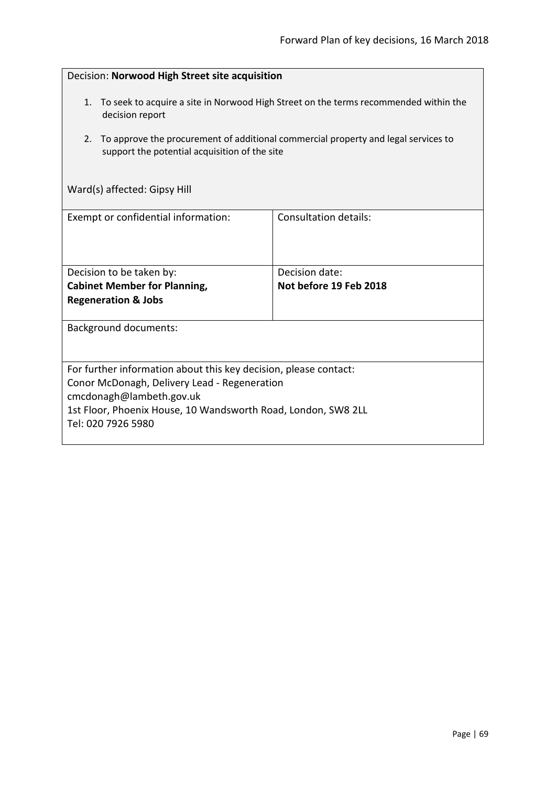| Decision: Norwood High Street site acquisition                                                                                                                                                                                      |                       |
|-------------------------------------------------------------------------------------------------------------------------------------------------------------------------------------------------------------------------------------|-----------------------|
| 1. To seek to acquire a site in Norwood High Street on the terms recommended within the<br>decision report                                                                                                                          |                       |
| To approve the procurement of additional commercial property and legal services to<br>2.<br>support the potential acquisition of the site                                                                                           |                       |
| Ward(s) affected: Gipsy Hill                                                                                                                                                                                                        |                       |
| Exempt or confidential information:                                                                                                                                                                                                 | Consultation details: |
|                                                                                                                                                                                                                                     |                       |
| Decision date:<br>Decision to be taken by:<br><b>Cabinet Member for Planning,</b><br>Not before 19 Feb 2018                                                                                                                         |                       |
| <b>Regeneration &amp; Jobs</b>                                                                                                                                                                                                      |                       |
| <b>Background documents:</b>                                                                                                                                                                                                        |                       |
|                                                                                                                                                                                                                                     |                       |
| For further information about this key decision, please contact:<br>Conor McDonagh, Delivery Lead - Regeneration<br>cmcdonagh@lambeth.gov.uk<br>1st Floor, Phoenix House, 10 Wandsworth Road, London, SW8 2LL<br>Tel: 020 7926 5980 |                       |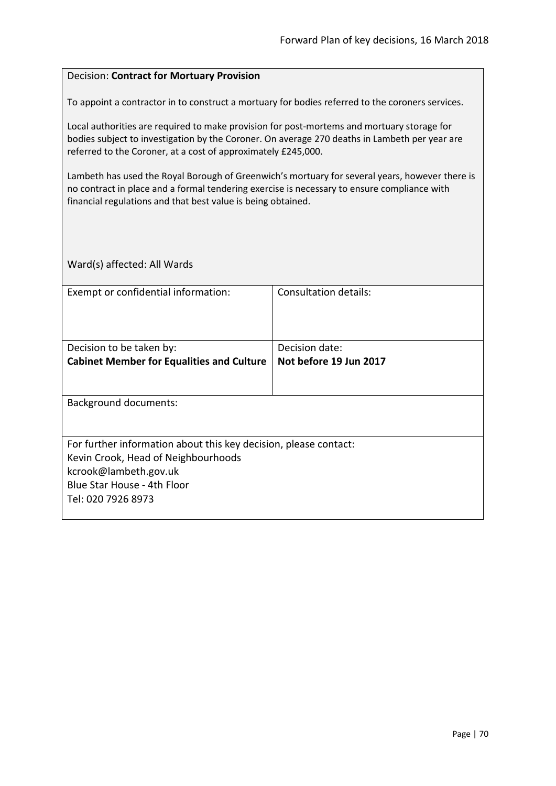#### Decision: **Contract for Mortuary Provision**

To appoint a contractor in to construct a mortuary for bodies referred to the coroners services.

Local authorities are required to make provision for post-mortems and mortuary storage for bodies subject to investigation by the Coroner. On average 270 deaths in Lambeth per year are referred to the Coroner, at a cost of approximately £245,000.

Lambeth has used the Royal Borough of Greenwich's mortuary for several years, however there is no contract in place and a formal tendering exercise is necessary to ensure compliance with financial regulations and that best value is being obtained.

| Exempt or confidential information:                              | Consultation details:  |
|------------------------------------------------------------------|------------------------|
|                                                                  |                        |
| Decision to be taken by:                                         | Decision date:         |
| <b>Cabinet Member for Equalities and Culture</b>                 | Not before 19 Jun 2017 |
|                                                                  |                        |
| <b>Background documents:</b>                                     |                        |
|                                                                  |                        |
| For further information about this key decision, please contact: |                        |
| Kevin Crook, Head of Neighbourhoods                              |                        |
| kcrook@lambeth.gov.uk                                            |                        |
| Blue Star House - 4th Floor                                      |                        |
| Tel: 020 7926 8973                                               |                        |
|                                                                  |                        |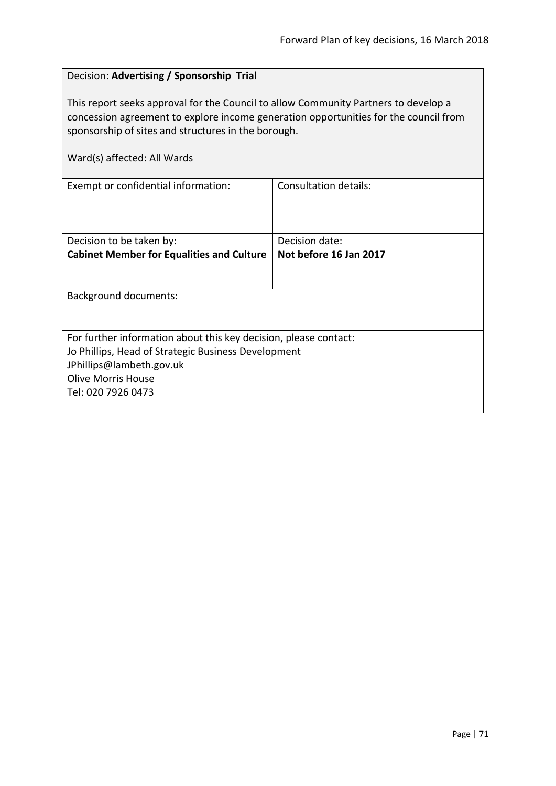# Decision: **Advertising / Sponsorship Trial** This report seeks approval for the Council to allow Community Partners to develop a concession agreement to explore income generation opportunities for the council from sponsorship of sites and structures in the borough. Ward(s) affected: All Wards Exempt or confidential information: Consultation details: Decision to be taken by: **Cabinet Member for Equalities and Culture** Decision date: **Not before 16 Jan 2017**

Background documents: For further information about this key decision, please contact: Jo Phillips, Head of Strategic Business Development JPhillips@lambeth.gov.uk Olive Morris House Tel: 020 7926 0473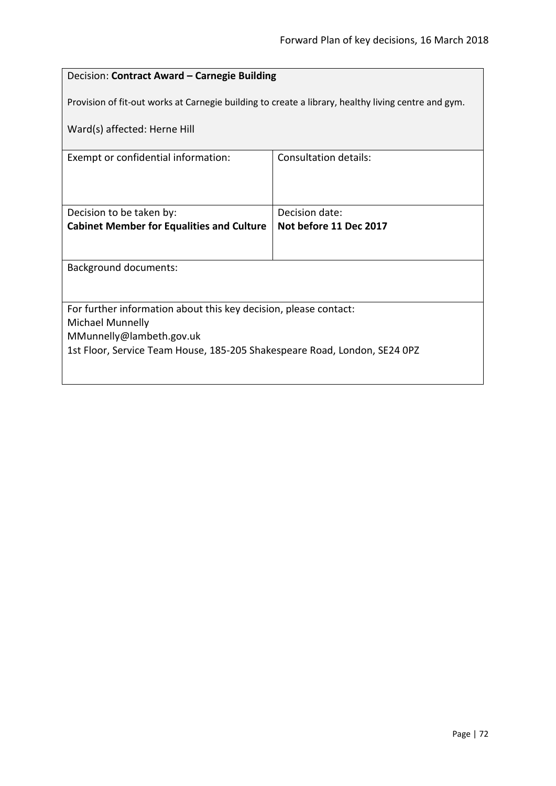# Decision: **Contract Award – Carnegie Building**

Provision of fit-out works at Carnegie building to create a library, healthy living centre and gym.

Ward(s) affected: Herne Hill

| Exempt or confidential information:                                       | Consultation details:  |
|---------------------------------------------------------------------------|------------------------|
|                                                                           |                        |
|                                                                           |                        |
|                                                                           |                        |
|                                                                           |                        |
| Decision to be taken by:                                                  | Decision date:         |
| <b>Cabinet Member for Equalities and Culture</b>                          | Not before 11 Dec 2017 |
|                                                                           |                        |
|                                                                           |                        |
| <b>Background documents:</b>                                              |                        |
|                                                                           |                        |
|                                                                           |                        |
|                                                                           |                        |
| For further information about this key decision, please contact:          |                        |
| Michael Munnelly                                                          |                        |
| MMunnelly@lambeth.gov.uk                                                  |                        |
|                                                                           |                        |
| 1st Floor, Service Team House, 185-205 Shakespeare Road, London, SE24 0PZ |                        |
|                                                                           |                        |
|                                                                           |                        |
|                                                                           |                        |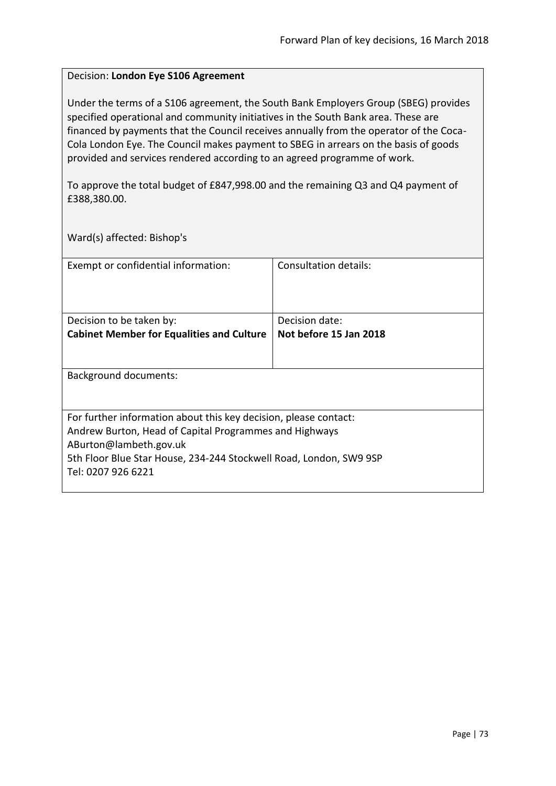## Decision: **London Eye S106 Agreement**

Under the terms of a S106 agreement, the South Bank Employers Group (SBEG) provides specified operational and community initiatives in the South Bank area. These are financed by payments that the Council receives annually from the operator of the Coca-Cola London Eye. The Council makes payment to SBEG in arrears on the basis of goods provided and services rendered according to an agreed programme of work.

To approve the total budget of £847,998.00 and the remaining Q3 and Q4 payment of £388,380.00.

Ward(s) affected: Bishop's

| Exempt or confidential information:                                | Consultation details:  |
|--------------------------------------------------------------------|------------------------|
| Decision to be taken by:                                           | Decision date:         |
| <b>Cabinet Member for Equalities and Culture</b>                   | Not before 15 Jan 2018 |
|                                                                    |                        |
| Background documents:                                              |                        |
| For further information about this key decision, please contact:   |                        |
| Andrew Burton, Head of Capital Programmes and Highways             |                        |
| ABurton@lambeth.gov.uk                                             |                        |
| 5th Floor Blue Star House, 234-244 Stockwell Road, London, SW9 9SP |                        |
| Tel: 0207 926 6221                                                 |                        |
|                                                                    |                        |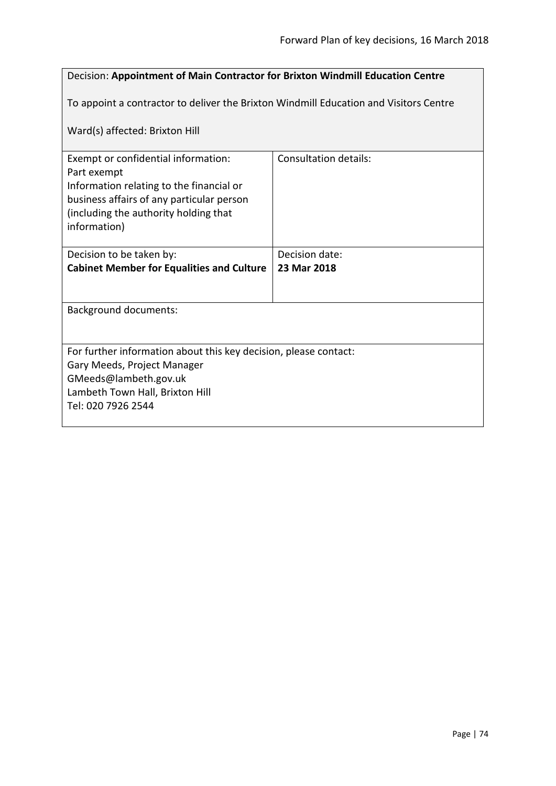# Decision: **Appointment of Main Contractor for Brixton Windmill Education Centre**

To appoint a contractor to deliver the Brixton Windmill Education and Visitors Centre

Ward(s) affected: Brixton Hill

| Exempt or confidential information:                              | Consultation details: |
|------------------------------------------------------------------|-----------------------|
| Part exempt                                                      |                       |
| Information relating to the financial or                         |                       |
| business affairs of any particular person                        |                       |
| (including the authority holding that                            |                       |
| information)                                                     |                       |
| Decision to be taken by:                                         | Decision date:        |
| <b>Cabinet Member for Equalities and Culture</b>                 | 23 Mar 2018           |
|                                                                  |                       |
|                                                                  |                       |
| Background documents:                                            |                       |
|                                                                  |                       |
|                                                                  |                       |
| For further information about this key decision, please contact: |                       |
| Gary Meeds, Project Manager                                      |                       |
| GMeeds@lambeth.gov.uk                                            |                       |
| Lambeth Town Hall, Brixton Hill                                  |                       |
| Tel: 020 7926 2544                                               |                       |
|                                                                  |                       |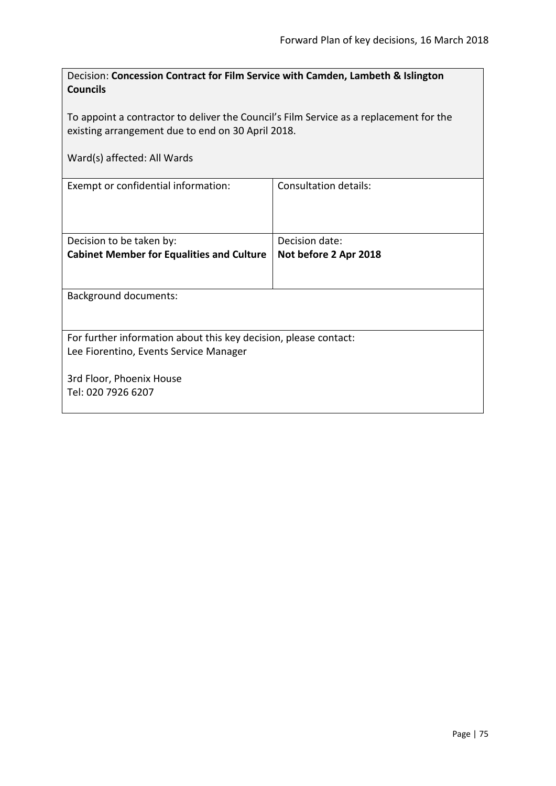| Decision: Concession Contract for Film Service with Camden, Lambeth & Islington<br><b>Councils</b>                                          |                       |  |
|---------------------------------------------------------------------------------------------------------------------------------------------|-----------------------|--|
| To appoint a contractor to deliver the Council's Film Service as a replacement for the<br>existing arrangement due to end on 30 April 2018. |                       |  |
| Ward(s) affected: All Wards                                                                                                                 |                       |  |
| Exempt or confidential information:                                                                                                         | Consultation details: |  |
| Decision to be taken by:                                                                                                                    | Decision date:        |  |
| <b>Cabinet Member for Equalities and Culture</b>                                                                                            | Not before 2 Apr 2018 |  |
| <b>Background documents:</b>                                                                                                                |                       |  |
| For further information about this key decision, please contact:<br>Lee Fiorentino, Events Service Manager                                  |                       |  |
| 3rd Floor, Phoenix House                                                                                                                    |                       |  |
| Tel: 020 7926 6207                                                                                                                          |                       |  |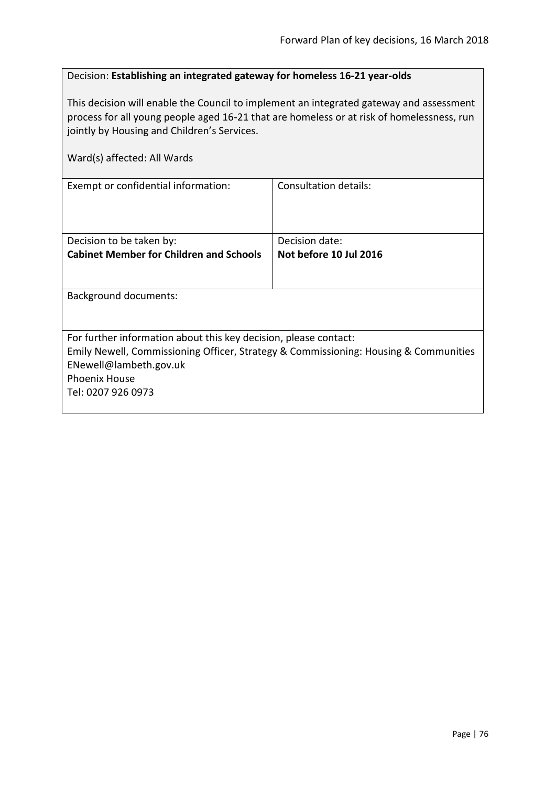## Decision: **Establishing an integrated gateway for homeless 16-21 year-olds**

This decision will enable the Council to implement an integrated gateway and assessment process for all young people aged 16-21 that are homeless or at risk of homelessness, run jointly by Housing and Children's Services.

| Ward(s) affected: All Wards                                                                                                                              |                        |
|----------------------------------------------------------------------------------------------------------------------------------------------------------|------------------------|
| Exempt or confidential information:                                                                                                                      | Consultation details:  |
| Decision to be taken by:                                                                                                                                 | Decision date:         |
| <b>Cabinet Member for Children and Schools</b>                                                                                                           | Not before 10 Jul 2016 |
| Background documents:                                                                                                                                    |                        |
| For further information about this key decision, please contact:<br>Emily Newell, Commissioning Officer, Strategy & Commissioning: Housing & Communities |                        |
| ENewell@lambeth.gov.uk<br><b>Phoenix House</b>                                                                                                           |                        |
| Tel: 0207 926 0973                                                                                                                                       |                        |
|                                                                                                                                                          |                        |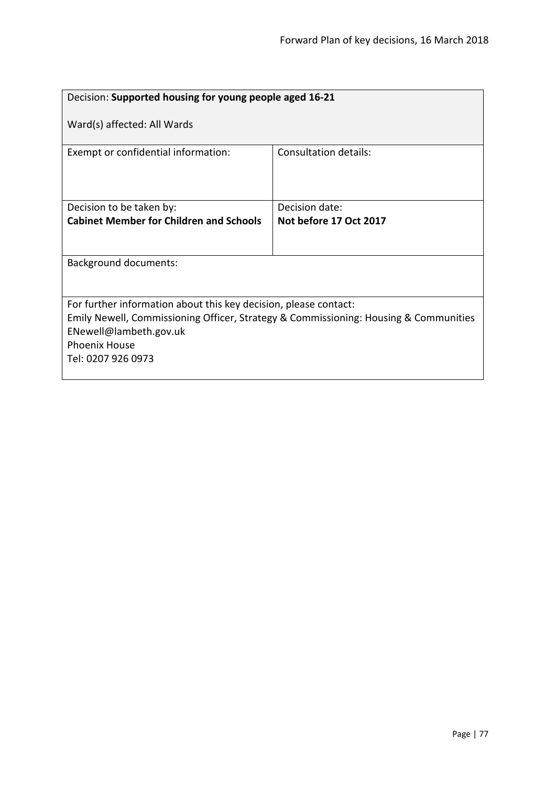| Decision: Supported housing for young people aged 16-21                                                                                                                                                                          |                        |
|----------------------------------------------------------------------------------------------------------------------------------------------------------------------------------------------------------------------------------|------------------------|
| Ward(s) affected: All Wards                                                                                                                                                                                                      |                        |
| Exempt or confidential information:                                                                                                                                                                                              | Consultation details:  |
| Decision to be taken by:                                                                                                                                                                                                         | Decision date:         |
| <b>Cabinet Member for Children and Schools</b>                                                                                                                                                                                   | Not before 17 Oct 2017 |
|                                                                                                                                                                                                                                  |                        |
| <b>Background documents:</b>                                                                                                                                                                                                     |                        |
|                                                                                                                                                                                                                                  |                        |
| For further information about this key decision, please contact:<br>Emily Newell, Commissioning Officer, Strategy & Commissioning: Housing & Communities<br>ENewell@lambeth.gov.uk<br><b>Phoenix House</b><br>Tel: 0207 926 0973 |                        |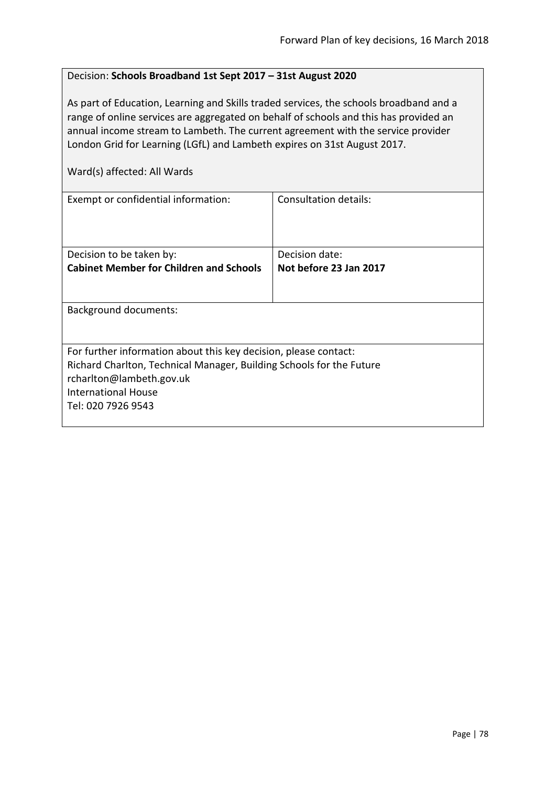#### Decision: **Schools Broadband 1st Sept 2017 – 31st August 2020**

As part of Education, Learning and Skills traded services, the schools broadband and a range of online services are aggregated on behalf of schools and this has provided an annual income stream to Lambeth. The current agreement with the service provider London Grid for Learning (LGfL) and Lambeth expires on 31st August 2017.

Ward(s) affected: All Wards

| Exempt or confidential information:                                                                                                                                                                                      | Consultation details:  |
|--------------------------------------------------------------------------------------------------------------------------------------------------------------------------------------------------------------------------|------------------------|
| Decision to be taken by:                                                                                                                                                                                                 | Decision date:         |
| <b>Cabinet Member for Children and Schools</b>                                                                                                                                                                           | Not before 23 Jan 2017 |
|                                                                                                                                                                                                                          |                        |
| Background documents:                                                                                                                                                                                                    |                        |
| For further information about this key decision, please contact:<br>Richard Charlton, Technical Manager, Building Schools for the Future<br>rcharlton@lambeth.gov.uk<br><b>International House</b><br>Tel: 020 7926 9543 |                        |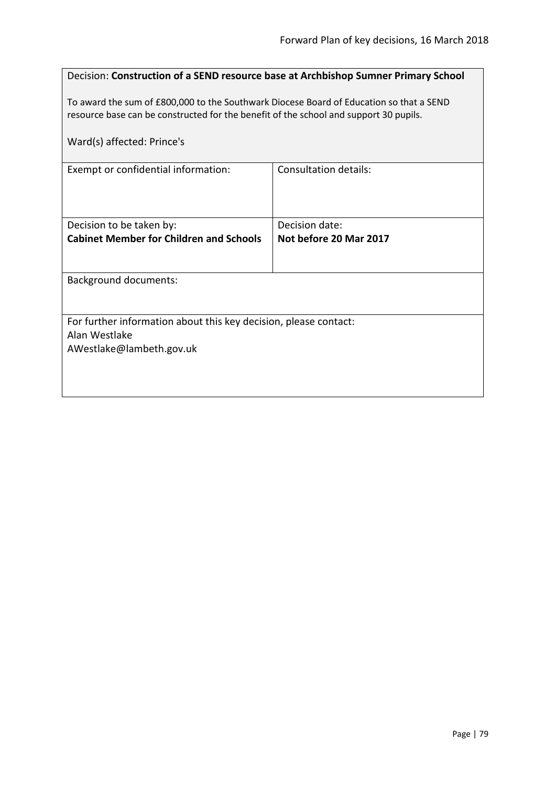| Decision: Construction of a SEND resource base at Archbishop Sumner Primary School                                                                                               |                                          |  |
|----------------------------------------------------------------------------------------------------------------------------------------------------------------------------------|------------------------------------------|--|
| To award the sum of £800,000 to the Southwark Diocese Board of Education so that a SEND<br>resource base can be constructed for the benefit of the school and support 30 pupils. |                                          |  |
| Ward(s) affected: Prince's                                                                                                                                                       |                                          |  |
| Exempt or confidential information:                                                                                                                                              | <b>Consultation details:</b>             |  |
| Decision to be taken by:<br><b>Cabinet Member for Children and Schools</b>                                                                                                       | Decision date:<br>Not before 20 Mar 2017 |  |
| <b>Background documents:</b>                                                                                                                                                     |                                          |  |
| For further information about this key decision, please contact:<br>Alan Westlake<br>AWestlake@lambeth.gov.uk                                                                    |                                          |  |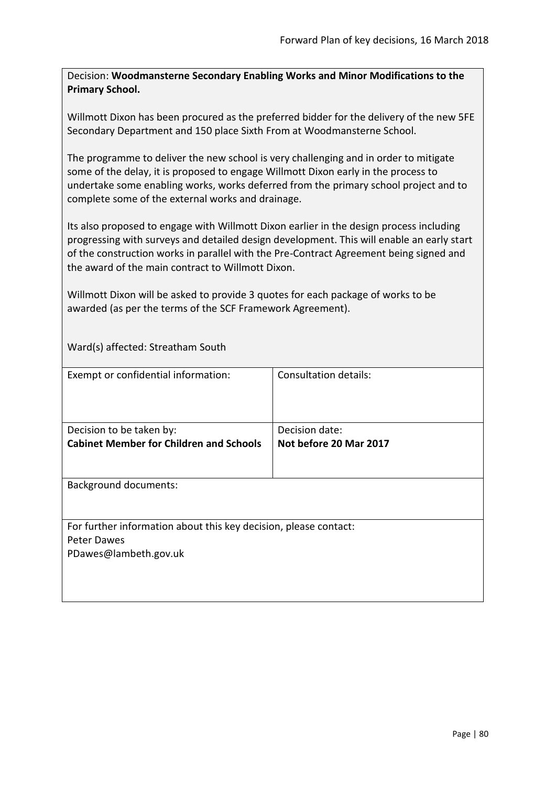Decision: **Woodmansterne Secondary Enabling Works and Minor Modifications to the Primary School.**

Willmott Dixon has been procured as the preferred bidder for the delivery of the new 5FE Secondary Department and 150 place Sixth From at Woodmansterne School.

The programme to deliver the new school is very challenging and in order to mitigate some of the delay, it is proposed to engage Willmott Dixon early in the process to undertake some enabling works, works deferred from the primary school project and to complete some of the external works and drainage.

Its also proposed to engage with Willmott Dixon earlier in the design process including progressing with surveys and detailed design development. This will enable an early start of the construction works in parallel with the Pre-Contract Agreement being signed and the award of the main contract to Willmott Dixon.

Willmott Dixon will be asked to provide 3 quotes for each package of works to be awarded (as per the terms of the SCF Framework Agreement).

Ward(s) affected: Streatham South

| Exempt or confidential information:                              | <b>Consultation details:</b> |
|------------------------------------------------------------------|------------------------------|
|                                                                  |                              |
| Decision to be taken by:                                         | Decision date:               |
| <b>Cabinet Member for Children and Schools</b>                   | Not before 20 Mar 2017       |
|                                                                  |                              |
|                                                                  |                              |
| <b>Background documents:</b>                                     |                              |
|                                                                  |                              |
|                                                                  |                              |
| For further information about this key decision, please contact: |                              |
| <b>Peter Dawes</b>                                               |                              |
| PDawes@lambeth.gov.uk                                            |                              |
|                                                                  |                              |
|                                                                  |                              |
|                                                                  |                              |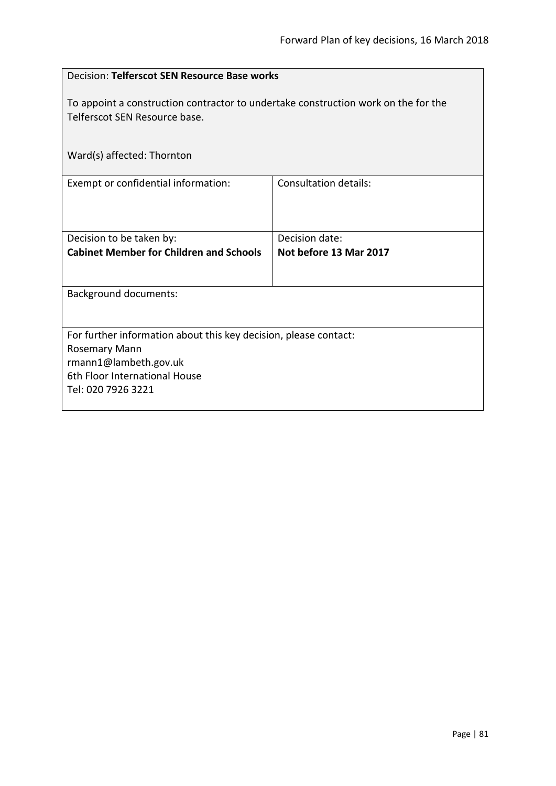| Decision: Telferscot SEN Resource Base works                                                                        |                                          |
|---------------------------------------------------------------------------------------------------------------------|------------------------------------------|
| To appoint a construction contractor to undertake construction work on the for the<br>Telferscot SEN Resource base. |                                          |
| Ward(s) affected: Thornton                                                                                          |                                          |
| Exempt or confidential information:                                                                                 | <b>Consultation details:</b>             |
| Decision to be taken by:<br><b>Cabinet Member for Children and Schools</b>                                          | Decision date:<br>Not before 13 Mar 2017 |
|                                                                                                                     |                                          |
| <b>Background documents:</b>                                                                                        |                                          |
| For further information about this key decision, please contact:<br><b>Rosemary Mann</b>                            |                                          |
| rmann1@lambeth.gov.uk                                                                                               |                                          |
| 6th Floor International House<br>Tel: 020 7926 3221                                                                 |                                          |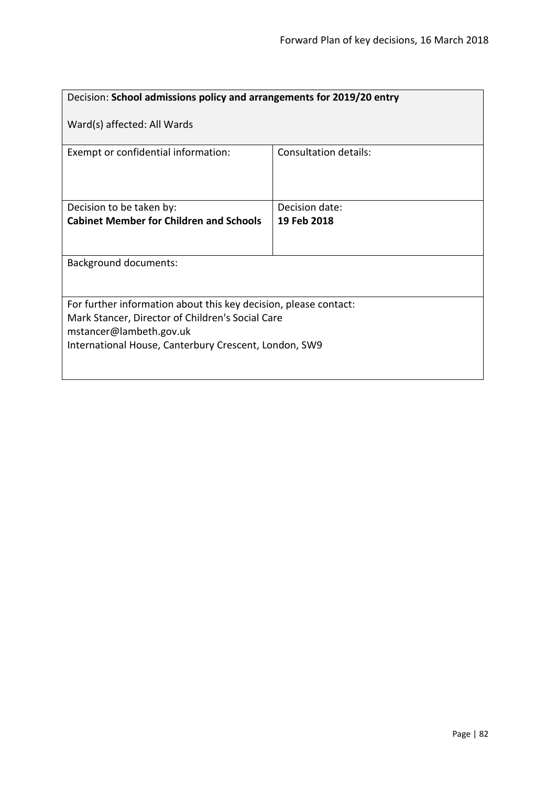| Decision: School admissions policy and arrangements for 2019/20 entry                                                                                                                                    |                              |
|----------------------------------------------------------------------------------------------------------------------------------------------------------------------------------------------------------|------------------------------|
| Ward(s) affected: All Wards                                                                                                                                                                              |                              |
| Exempt or confidential information:                                                                                                                                                                      | <b>Consultation details:</b> |
| Decision to be taken by:                                                                                                                                                                                 | Decision date:               |
| <b>Cabinet Member for Children and Schools</b>                                                                                                                                                           | 19 Feb 2018                  |
| <b>Background documents:</b>                                                                                                                                                                             |                              |
| For further information about this key decision, please contact:<br>Mark Stancer, Director of Children's Social Care<br>mstancer@lambeth.gov.uk<br>International House, Canterbury Crescent, London, SW9 |                              |